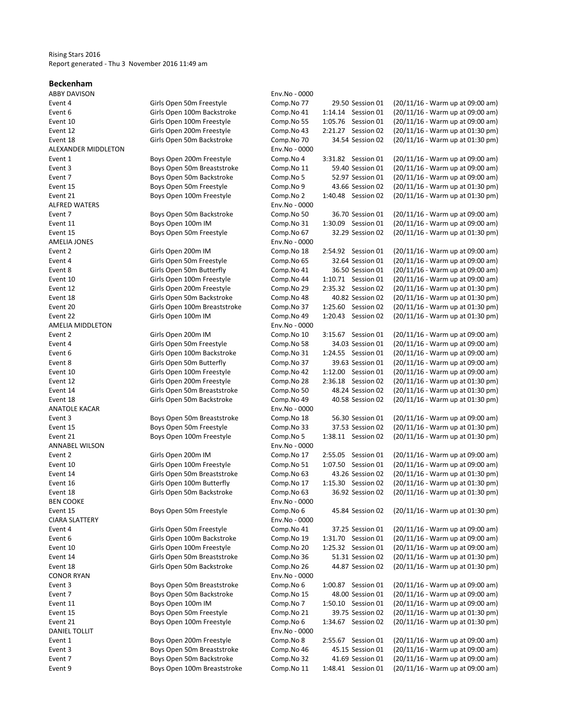### Rising Stars 2016 Report generated - Thu 3 November 2016 11:49 am

#### Beckenham

ABBY DAVISON Env.No - 0000

| יי טעו יו אויר שאר    |                              | טטטט טווי     |                    |                                  |
|-----------------------|------------------------------|---------------|--------------------|----------------------------------|
| Event 4               | Girls Open 50m Freestyle     | Comp.No 77    | 29.50 Session 01   | (20/11/16 - Warm up at 09:00 am) |
| Event 6               | Girls Open 100m Backstroke   | Comp.No 41    | 1:14.14 Session 01 | (20/11/16 - Warm up at 09:00 am) |
| Event 10              | Girls Open 100m Freestyle    | Comp.No 55    | 1:05.76 Session 01 | (20/11/16 - Warm up at 09:00 am) |
| Event 12              | Girls Open 200m Freestyle    | Comp.No 43    | 2:21.27 Session 02 | (20/11/16 - Warm up at 01:30 pm) |
| Event 18              | Girls Open 50m Backstroke    | Comp.No 70    | 34.54 Session 02   | (20/11/16 - Warm up at 01:30 pm) |
| ALEXANDER MIDDLETON   |                              | Env.No - 0000 |                    |                                  |
| Event 1               | Boys Open 200m Freestyle     | Comp.No 4     | 3:31.82 Session 01 | (20/11/16 - Warm up at 09:00 am) |
| Event 3               | Boys Open 50m Breaststroke   | Comp.No 11    | 59.40 Session 01   | (20/11/16 - Warm up at 09:00 am) |
| Event 7               | Boys Open 50m Backstroke     | Comp.No 5     | 52.97 Session 01   | (20/11/16 - Warm up at 09:00 am) |
| Event 15              | Boys Open 50m Freestyle      | Comp.No 9     | 43.66 Session 02   | (20/11/16 - Warm up at 01:30 pm) |
| Event 21              | Boys Open 100m Freestyle     | Comp.No 2     | 1:40.48 Session 02 | (20/11/16 - Warm up at 01:30 pm) |
| <b>ALFRED WATERS</b>  |                              | Env.No - 0000 |                    |                                  |
| Event 7               | Boys Open 50m Backstroke     | Comp.No 50    | 36.70 Session 01   | (20/11/16 - Warm up at 09:00 am) |
| Event 11              | Boys Open 100m IM            | Comp.No 31    | 1:30.09 Session 01 | (20/11/16 - Warm up at 09:00 am) |
| Event 15              | Boys Open 50m Freestyle      | Comp.No 67    | 32.29 Session 02   | (20/11/16 - Warm up at 01:30 pm) |
| <b>AMELIA JONES</b>   |                              | Env.No - 0000 |                    |                                  |
| Event 2               | Girls Open 200m IM           | Comp.No 18    | 2:54.92 Session 01 | (20/11/16 - Warm up at 09:00 am) |
|                       |                              |               |                    |                                  |
| Event 4               | Girls Open 50m Freestyle     | Comp.No 65    | 32.64 Session 01   | (20/11/16 - Warm up at 09:00 am) |
| Event 8               | Girls Open 50m Butterfly     | Comp.No 41    | 36.50 Session 01   | (20/11/16 - Warm up at 09:00 am) |
| Event 10              | Girls Open 100m Freestyle    | Comp.No 44    | 1:10.71 Session 01 | (20/11/16 - Warm up at 09:00 am) |
| Event 12              | Girls Open 200m Freestyle    | Comp.No 29    | 2:35.32 Session 02 | (20/11/16 - Warm up at 01:30 pm) |
| Event 18              | Girls Open 50m Backstroke    | Comp.No 48    | 40.82 Session 02   | (20/11/16 - Warm up at 01:30 pm) |
| Event 20              | Girls Open 100m Breaststroke | Comp.No 37    | 1:25.60 Session 02 | (20/11/16 - Warm up at 01:30 pm) |
| Event 22              | Girls Open 100m IM           | Comp.No 49    | 1:20.43 Session 02 | (20/11/16 - Warm up at 01:30 pm) |
| AMELIA MIDDLETON      |                              | Env.No - 0000 |                    |                                  |
| Event 2               | Girls Open 200m IM           | Comp.No 10    | 3:15.67 Session 01 | (20/11/16 - Warm up at 09:00 am) |
| Event 4               | Girls Open 50m Freestyle     | Comp.No 58    | 34.03 Session 01   | (20/11/16 - Warm up at 09:00 am) |
| Event 6               | Girls Open 100m Backstroke   | Comp.No 31    | 1:24.55 Session 01 | (20/11/16 - Warm up at 09:00 am) |
| Event 8               | Girls Open 50m Butterfly     | Comp.No 37    | 39.63 Session 01   | (20/11/16 - Warm up at 09:00 am) |
| Event 10              | Girls Open 100m Freestyle    | Comp.No 42    | 1:12.00 Session 01 | (20/11/16 - Warm up at 09:00 am) |
| Event 12              | Girls Open 200m Freestyle    | Comp.No 28    | 2:36.18 Session 02 | (20/11/16 - Warm up at 01:30 pm) |
| Event 14              | Girls Open 50m Breaststroke  | Comp.No 50    | 48.24 Session 02   | (20/11/16 - Warm up at 01:30 pm) |
| Event 18              | Girls Open 50m Backstroke    | Comp.No 49    | 40.58 Session 02   | (20/11/16 - Warm up at 01:30 pm) |
| <b>ANATOLE KACAR</b>  |                              | Env.No - 0000 |                    |                                  |
| Event 3               | Boys Open 50m Breaststroke   | Comp.No 18    | 56.30 Session 01   | (20/11/16 - Warm up at 09:00 am) |
| Event 15              | Boys Open 50m Freestyle      | Comp.No 33    | 37.53 Session 02   | (20/11/16 - Warm up at 01:30 pm) |
| Event 21              | Boys Open 100m Freestyle     | Comp.No 5     | 1:38.11 Session 02 | (20/11/16 - Warm up at 01:30 pm) |
| <b>ANNABEL WILSON</b> |                              | Env.No - 0000 |                    |                                  |
| Event 2               | Girls Open 200m IM           | Comp.No 17    | 2:55.05 Session 01 | (20/11/16 - Warm up at 09:00 am) |
| Event 10              | Girls Open 100m Freestyle    | Comp.No 51    | 1:07.50 Session 01 | (20/11/16 - Warm up at 09:00 am) |
| Event 14              | Girls Open 50m Breaststroke  | Comp.No 63    | 43.26 Session 02   | (20/11/16 - Warm up at 01:30 pm) |
| Event 16              | Girls Open 100m Butterfly    |               | 1:15.30 Session 02 | (20/11/16 - Warm up at 01:30 pm) |
|                       |                              | Comp.No 17    |                    |                                  |
| Event 18              | Girls Open 50m Backstroke    | Comp.No 63    | 36.92 Session 02   | (20/11/16 - Warm up at 01:30 pm) |
| <b>BEN COOKE</b>      |                              | Env.No - 0000 |                    |                                  |
| Event 15              | Boys Open 50m Freestyle      | Comp.No 6     | 45.84 Session 02   | (20/11/16 - Warm up at 01:30 pm) |
| <b>CIARA SLATTERY</b> |                              | Env.No - 0000 |                    |                                  |
| Event 4               | Girls Open 50m Freestyle     | Comp.No 41    | 37.25 Session 01   | (20/11/16 - Warm up at 09:00 am) |
| Event 6               | Girls Open 100m Backstroke   | Comp.No 19    | 1:31.70 Session 01 | (20/11/16 - Warm up at 09:00 am) |
| Event 10              | Girls Open 100m Freestyle    | Comp.No 20    | 1:25.32 Session 01 | (20/11/16 - Warm up at 09:00 am) |
| Event 14              | Girls Open 50m Breaststroke  | Comp.No 36    | 51.31 Session 02   | (20/11/16 - Warm up at 01:30 pm) |
| Event 18              | Girls Open 50m Backstroke    | Comp.No 26    | 44.87 Session 02   | (20/11/16 - Warm up at 01:30 pm) |
| <b>CONOR RYAN</b>     |                              | Env.No - 0000 |                    |                                  |
| Event 3               | Boys Open 50m Breaststroke   | Comp.No 6     | 1:00.87 Session 01 | (20/11/16 - Warm up at 09:00 am) |
| Event 7               | Boys Open 50m Backstroke     | Comp.No 15    | 48.00 Session 01   | (20/11/16 - Warm up at 09:00 am) |
| Event 11              | Boys Open 100m IM            | Comp.No 7     | 1:50.10 Session 01 | (20/11/16 - Warm up at 09:00 am) |
| Event 15              | Boys Open 50m Freestyle      | Comp.No 21    | 39.75 Session 02   | (20/11/16 - Warm up at 01:30 pm) |
| Event 21              | Boys Open 100m Freestyle     | Comp.No 6     | 1:34.67 Session 02 | (20/11/16 - Warm up at 01:30 pm) |
| DANIEL TOLLIT         |                              | Env.No - 0000 |                    |                                  |
| Event 1               | Boys Open 200m Freestyle     | Comp.No 8     | 2:55.67 Session 01 | (20/11/16 - Warm up at 09:00 am) |
| Event 3               | Boys Open 50m Breaststroke   | Comp.No 46    | 45.15 Session 01   | (20/11/16 - Warm up at 09:00 am) |
| Event 7               | Boys Open 50m Backstroke     | Comp.No 32    | 41.69 Session 01   | (20/11/16 - Warm up at 09:00 am) |
| Event 9               | Boys Open 100m Breaststroke  | Comp.No 11    | 1:48.41 Session 01 | (20/11/16 - Warm up at 09:00 am) |
|                       |                              |               |                    |                                  |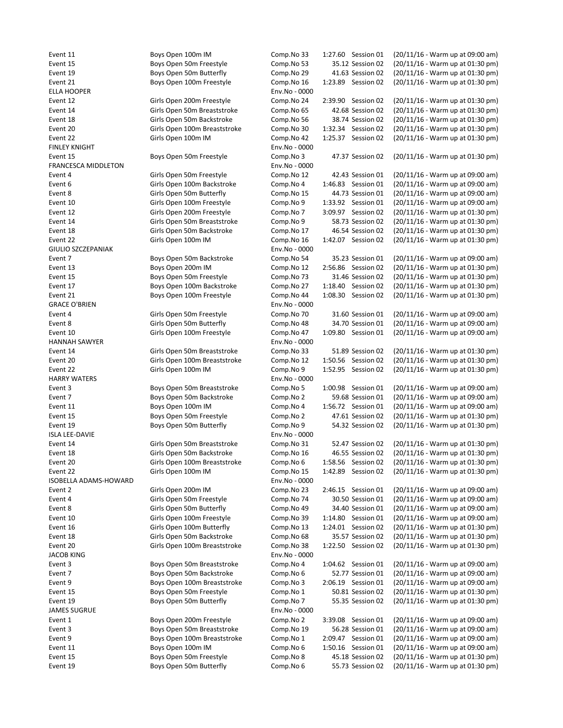JACOB KING **Env.No** - 0000 JAMES SUGRUE Env.No - 0000

ELLA HOOPER ENV.No - 0000 FINLEY KNIGHT **Env.No** - 0000 FRANCESCA MIDDLETON Env.No - 0000 GIULIO SZCZEPANIAK Env.No - 0000 GRACE O'BRIEN ENGLANDER EN ENGLANDER EN ENGLANDER EN ENGLANDER EN ENGLANDER EN ENGLANDER EN ENGLANDER EN ENGL HANNAH SAWYER Env.No - 0000 HARRY WATERS **Env.No** - 0000 ISLA LEE-DAVIE Env.No - 0000 ISOBELLA ADAMS-HOWARD Env.No - 0000

Event 11 Boys Open 100m IM Comp.No 33 1:27.60 Session 01 (20/11/16 - Warm up at 09:00 am) Event 15 Boys Open 50m Freestyle Comp.No 53 35.12 Session 02 (20/11/16 - Warm up at 01:30 pm) Event 19 Boys Open 50m Butterfly Comp.No 29 41.63 Session 02 (20/11/16 - Warm up at 01:30 pm) Event 21 Boys Open 100m Freestyle Comp.No 16 1:23.89 Session 02 (20/11/16 - Warm up at 01:30 pm) Event 12 Girls Open 200m Freestyle Comp.No 24 2:39.90 Session 02 (20/11/16 - Warm up at 01:30 pm) Event 14 Girls Open 50m Breaststroke Comp.No 65 42.68 Session 02 (20/11/16 - Warm up at 01:30 pm) Event 18 Girls Open 50m Backstroke Comp.No 56 38.74 Session 02 (20/11/16 - Warm up at 01:30 pm) Event 20 Girls Open 100m Breaststroke Comp.No 30 1:32.34 Session 02 (20/11/16 - Warm up at 01:30 pm) Event 22 Girls Open 100m IM Comp.No 42 1:25.37 Session 02 (20/11/16 - Warm up at 01:30 pm) Event 15 Boys Open 50m Freestyle Comp.No 3 47.37 Session 02 (20/11/16 - Warm up at 01:30 pm) Event 4 Girls Open 50m Freestyle Comp.No 12 42.43 Session 01 (20/11/16 - Warm up at 09:00 am) Event 6 Girls Open 100m Backstroke Comp.No 4 1:46.83 Session 01 (20/11/16 - Warm up at 09:00 am) Event 8 Girls Open 50m Butterfly Comp.No 15 44.73 Session 01 (20/11/16 - Warm up at 09:00 am) Event 10 Girls Open 100m Freestyle Comp.No 9 1:33.92 Session 01 (20/11/16 - Warm up at 09:00 am) Event 12 Girls Open 200m Freestyle Comp.No 7 3:09.97 Session 02 (20/11/16 - Warm up at 01:30 pm) Event 14 Girls Open 50m Breaststroke Comp.No 9 58.73 Session 02 (20/11/16 - Warm up at 01:30 pm) Event 18 Girls Open 50m Backstroke Comp.No 17 46.54 Session 02 (20/11/16 - Warm up at 01:30 pm) Event 22 Girls Open 100m IM Comp.No 16 1:42.07 Session 02 (20/11/16 - Warm up at 01:30 pm) Event 7 Boys Open 50m Backstroke Comp.No 54 35.23 Session 01 (20/11/16 - Warm up at 09:00 am) Event 13 Boys Open 200m IM Comp.No 12 2:56.86 Session 02 (20/11/16 - Warm up at 01:30 pm) Event 15 Boys Open 50m Freestyle Comp.No 73 31.46 Session 02 (20/11/16 - Warm up at 01:30 pm) Event 17 Boys Open 100m Backstroke Comp.No 27 1:18.40 Session 02 (20/11/16 - Warm up at 01:30 pm) Event 21 Boys Open 100m Freestyle Comp.No 44 1:08.30 Session 02 (20/11/16 - Warm up at 01:30 pm) Event 4 Girls Open 50m Freestyle Comp.No 70 31.60 Session 01 (20/11/16 - Warm up at 09:00 am) Event 8 Girls Open 50m Butterfly Comp.No 48 34.70 Session 01 (20/11/16 - Warm up at 09:00 am) Event 10 Girls Open 100m Freestyle Comp.No 47 1:09.80 Session 01 (20/11/16 - Warm up at 09:00 am) Event 14 Girls Open 50m Breaststroke Comp.No 33 51.89 Session 02 (20/11/16 - Warm up at 01:30 pm) Event 20 Girls Open 100m Breaststroke Comp.No 12 1:50.56 Session 02 (20/11/16 - Warm up at 01:30 pm) Event 22 Girls Open 100m IM Comp.No 9 1:52.95 Session 02 (20/11/16 - Warm up at 01:30 pm) Event 3 Boys Open 50m Breaststroke Comp.No 5 1:00.98 Session 01 (20/11/16 - Warm up at 09:00 am) Event 7 Boys Open 50m Backstroke Comp.No 2 59.68 Session 01 (20/11/16 - Warm up at 09:00 am) Event 11 Boys Open 100m IM Comp.No 4 1:56.72 Session 01 (20/11/16 - Warm up at 09:00 am) Event 15 Boys Open 50m Freestyle Comp.No 2 47.61 Session 02 (20/11/16 - Warm up at 01:30 pm) Event 19 Boys Open 50m Butterfly Comp.No 9 54.32 Session 02 (20/11/16 - Warm up at 01:30 pm) Event 14 Girls Open 50m Breaststroke Comp.No 31 52.47 Session 02 (20/11/16 - Warm up at 01:30 pm) Event 18 Girls Open 50m Backstroke Comp.No 16 46.55 Session 02 (20/11/16 - Warm up at 01:30 pm) Event 20 Girls Open 100m Breaststroke Comp.No 6 1:58.56 Session 02 (20/11/16 - Warm up at 01:30 pm) Event 22 Girls Open 100m IM Comp.No 15 1:42.89 Session 02 (20/11/16 - Warm up at 01:30 pm) Event 2 Girls Open 200m IM Comp.No 23 2:46.15 Session 01 (20/11/16 - Warm up at 09:00 am) Event 4 Girls Open 50m Freestyle Comp.No 74 30.50 Session 01 (20/11/16 - Warm up at 09:00 am) Event 8 Girls Open 50m Butterfly Comp.No 49 34.40 Session 01 (20/11/16 - Warm up at 09:00 am) Event 10 Girls Open 100m Freestyle Comp.No 39 1:14.80 Session 01 (20/11/16 - Warm up at 09:00 am) Event 16 Girls Open 100m Butterfly Comp.No 13 1:24.01 Session 02 (20/11/16 - Warm up at 01:30 pm) Event 18 Girls Open 50m Backstroke Comp.No 68 35.57 Session 02 (20/11/16 - Warm up at 01:30 pm) Event 20 Girls Open 100m Breaststroke Comp.No 38 1:22.50 Session 02 (20/11/16 - Warm up at 01:30 pm) Event 3 Boys Open 50m Breaststroke Comp.No 4 1:04.62 Session 01 (20/11/16 - Warm up at 09:00 am) Event 7 Boys Open 50m Backstroke Comp.No 6 52.77 Session 01 (20/11/16 - Warm up at 09:00 am) Event 9 Boys Open 100m Breaststroke Comp.No 3 2:06.19 Session 01 (20/11/16 - Warm up at 09:00 am) Event 15 Boys Open 50m Freestyle Comp.No 1 50.81 Session 02 (20/11/16 - Warm up at 01:30 pm) Event 19 Boys Open 50m Butterfly Comp.No 7 55.35 Session 02 (20/11/16 - Warm up at 01:30 pm) Event 1 Boys Open 200m Freestyle Comp.No 2 3:39.08 Session 01 (20/11/16 - Warm up at 09:00 am) Event 3 Boys Open 50m Breaststroke Comp.No 19 56.28 Session 01 (20/11/16 - Warm up at 09:00 am) Event 9 Boys Open 100m Breaststroke Comp.No 1 2:09.47 Session 01 (20/11/16 - Warm up at 09:00 am) Event 11 Boys Open 100m IM Comp.No 6 1:50.16 Session 01 (20/11/16 - Warm up at 09:00 am) Event 15 Boys Open 50m Freestyle Comp.No 8 45.18 Session 02 (20/11/16 - Warm up at 01:30 pm) Event 19 Boys Open 50m Butterfly Comp.No 6 55.73 Session 02 (20/11/16 - Warm up at 01:30 pm)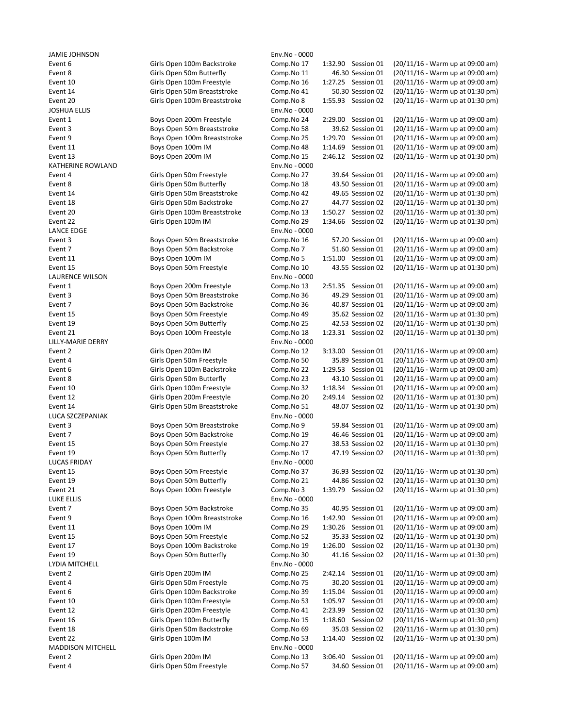| <b>JAIVIIE JUNIVOUV</b>  |                              | ETIV.INO - UUUU |                       |                                  |
|--------------------------|------------------------------|-----------------|-----------------------|----------------------------------|
| Event 6                  | Girls Open 100m Backstroke   | Comp.No 17      | 1:32.90 Session 01    | (20/11/16 - Warm up at 09:00 am) |
| Event 8                  | Girls Open 50m Butterfly     | Comp.No 11      | 46.30 Session 01      | (20/11/16 - Warm up at 09:00 am) |
| Event 10                 | Girls Open 100m Freestyle    | Comp.No 16      | 1:27.25 Session 01    | (20/11/16 - Warm up at 09:00 am) |
| Event 14                 | Girls Open 50m Breaststroke  | Comp.No 41      | 50.30 Session 02      | (20/11/16 - Warm up at 01:30 pm) |
| Event 20                 | Girls Open 100m Breaststroke | Comp.No 8       | 1:55.93 Session 02    | (20/11/16 - Warm up at 01:30 pm) |
| <b>JOSHUA ELLIS</b>      |                              | Env.No - 0000   |                       |                                  |
| Event 1                  | Boys Open 200m Freestyle     | Comp.No 24      | 2:29.00 Session 01    | (20/11/16 - Warm up at 09:00 am) |
| Event 3                  | Boys Open 50m Breaststroke   | Comp.No 58      | 39.62 Session 01      | (20/11/16 - Warm up at 09:00 am) |
| Event 9                  | Boys Open 100m Breaststroke  | Comp.No 25      | 1:29.70 Session 01    | (20/11/16 - Warm up at 09:00 am) |
| Event 11                 | Boys Open 100m IM            | Comp.No 48      | 1:14.69<br>Session 01 | (20/11/16 - Warm up at 09:00 am) |
| Event 13                 | Boys Open 200m IM            | Comp.No 15      | 2:46.12 Session 02    | (20/11/16 - Warm up at 01:30 pm) |
| KATHERINE ROWLAND        |                              | Env.No - 0000   |                       |                                  |
| Event 4                  | Girls Open 50m Freestyle     | Comp.No 27      | 39.64 Session 01      | (20/11/16 - Warm up at 09:00 am) |
| Event 8                  | Girls Open 50m Butterfly     | Comp.No 18      | 43.50 Session 01      | (20/11/16 - Warm up at 09:00 am) |
| Event 14                 | Girls Open 50m Breaststroke  | Comp.No 42      | 49.65 Session 02      | (20/11/16 - Warm up at 01:30 pm) |
| Event 18                 | Girls Open 50m Backstroke    | Comp.No 27      | 44.77 Session 02      | (20/11/16 - Warm up at 01:30 pm) |
| Event 20                 | Girls Open 100m Breaststroke | Comp.No 13      | 1:50.27 Session 02    | (20/11/16 - Warm up at 01:30 pm) |
| Event 22                 | Girls Open 100m IM           | Comp.No 29      | 1:34.66 Session 02    | (20/11/16 - Warm up at 01:30 pm) |
| LANCE EDGE               |                              | Env.No - 0000   |                       |                                  |
| Event 3                  | Boys Open 50m Breaststroke   | Comp.No 16      | 57.20 Session 01      | (20/11/16 - Warm up at 09:00 am) |
|                          | Boys Open 50m Backstroke     |                 |                       | (20/11/16 - Warm up at 09:00 am) |
| Event 7                  |                              | Comp.No 7       | 51.60 Session 01      |                                  |
| Event 11                 | Boys Open 100m IM            | Comp.No 5       | 1:51.00 Session 01    | (20/11/16 - Warm up at 09:00 am) |
| Event 15                 | Boys Open 50m Freestyle      | Comp.No 10      | 43.55 Session 02      | (20/11/16 - Warm up at 01:30 pm) |
| LAURENCE WILSON          |                              | Env.No - 0000   |                       |                                  |
| Event 1                  | Boys Open 200m Freestyle     | Comp.No 13      | 2:51.35 Session 01    | (20/11/16 - Warm up at 09:00 am) |
| Event 3                  | Boys Open 50m Breaststroke   | Comp.No 36      | 49.29 Session 01      | (20/11/16 - Warm up at 09:00 am) |
| Event 7                  | Boys Open 50m Backstroke     | Comp.No 36      | 40.87 Session 01      | (20/11/16 - Warm up at 09:00 am) |
| Event 15                 | Boys Open 50m Freestyle      | Comp.No 49      | 35.62 Session 02      | (20/11/16 - Warm up at 01:30 pm) |
| Event 19                 | Boys Open 50m Butterfly      | Comp.No 25      | 42.53 Session 02      | (20/11/16 - Warm up at 01:30 pm) |
| Event 21                 | Boys Open 100m Freestyle     | Comp.No 18      | 1:23.31 Session 02    | (20/11/16 - Warm up at 01:30 pm) |
| LILLY-MARIE DERRY        |                              | Env.No - 0000   |                       |                                  |
| Event 2                  | Girls Open 200m IM           | Comp.No 12      | 3:13.00 Session 01    | (20/11/16 - Warm up at 09:00 am) |
| Event 4                  | Girls Open 50m Freestyle     | Comp.No 50      | 35.89 Session 01      | (20/11/16 - Warm up at 09:00 am) |
| Event 6                  | Girls Open 100m Backstroke   | Comp.No 22      | 1:29.53 Session 01    | (20/11/16 - Warm up at 09:00 am) |
| Event 8                  | Girls Open 50m Butterfly     | Comp.No 23      | 43.10 Session 01      | (20/11/16 - Warm up at 09:00 am) |
| Event 10                 | Girls Open 100m Freestyle    | Comp.No 32      | 1:18.34 Session 01    | (20/11/16 - Warm up at 09:00 am) |
| Event 12                 | Girls Open 200m Freestyle    | Comp.No 20      | 2:49.14 Session 02    | (20/11/16 - Warm up at 01:30 pm) |
| Event 14                 | Girls Open 50m Breaststroke  | Comp.No 51      | 48.07 Session 02      | (20/11/16 - Warm up at 01:30 pm) |
| LUCA SZCZEPANIAK         |                              | Env.No - 0000   |                       |                                  |
| Event 3                  | Boys Open 50m Breaststroke   | Comp.No 9       | 59.84 Session 01      | (20/11/16 - Warm up at 09:00 am) |
| Event 7                  | Boys Open 50m Backstroke     | Comp.No 19      | 46.46 Session 01      | (20/11/16 - Warm up at 09:00 am) |
| Event 15                 | Boys Open 50m Freestyle      | Comp.No 27      | 38.53 Session 02      | (20/11/16 - Warm up at 01:30 pm) |
| Event 19                 | Boys Open 50m Butterfly      | Comp.No 17      | 47.19 Session 02      | (20/11/16 - Warm up at 01:30 pm) |
| <b>LUCAS FRIDAY</b>      |                              | Env.No - 0000   |                       |                                  |
| Event 15                 | Boys Open 50m Freestyle      | Comp.No 37      | 36.93 Session 02      | (20/11/16 - Warm up at 01:30 pm) |
|                          |                              |                 |                       | (20/11/16 - Warm up at 01:30 pm) |
| Event 19                 | Boys Open 50m Butterfly      | Comp.No 21      | 44.86 Session 02      |                                  |
| Event 21                 | Boys Open 100m Freestyle     | Comp.No 3       | 1:39.79 Session 02    | (20/11/16 - Warm up at 01:30 pm) |
| LUKE ELLIS               |                              | Env.No - 0000   |                       |                                  |
| Event 7                  | Boys Open 50m Backstroke     | Comp.No 35      | 40.95 Session 01      | (20/11/16 - Warm up at 09:00 am) |
| Event 9                  | Boys Open 100m Breaststroke  | Comp.No 16      | 1:42.90 Session 01    | (20/11/16 - Warm up at 09:00 am) |
| Event 11                 | Boys Open 100m IM            | Comp.No 29      | 1:30.26 Session 01    | (20/11/16 - Warm up at 09:00 am) |
| Event 15                 | Boys Open 50m Freestyle      | Comp.No 52      | 35.33 Session 02      | (20/11/16 - Warm up at 01:30 pm) |
| Event 17                 | Boys Open 100m Backstroke    | Comp.No 19      | 1:26.00 Session 02    | (20/11/16 - Warm up at 01:30 pm) |
| Event 19                 | Boys Open 50m Butterfly      | Comp.No 30      | 41.16 Session 02      | (20/11/16 - Warm up at 01:30 pm) |
| LYDIA MITCHELL           |                              | Env.No - 0000   |                       |                                  |
| Event 2                  | Girls Open 200m IM           | Comp.No 25      | 2:42.14 Session 01    | (20/11/16 - Warm up at 09:00 am) |
| Event 4                  | Girls Open 50m Freestyle     | Comp.No 75      | 30.20 Session 01      | (20/11/16 - Warm up at 09:00 am) |
| Event 6                  | Girls Open 100m Backstroke   | Comp.No 39      | 1:15.04 Session 01    | (20/11/16 - Warm up at 09:00 am) |
| Event 10                 | Girls Open 100m Freestyle    | Comp.No 53      | Session 01<br>1:05.97 | (20/11/16 - Warm up at 09:00 am) |
| Event 12                 | Girls Open 200m Freestyle    | Comp.No 41      | 2:23.99<br>Session 02 | (20/11/16 - Warm up at 01:30 pm) |
| Event 16                 | Girls Open 100m Butterfly    | Comp.No 15      | 1:18.60 Session 02    | (20/11/16 - Warm up at 01:30 pm) |
| Event 18                 | Girls Open 50m Backstroke    | Comp.No 69      | 35.03 Session 02      | (20/11/16 - Warm up at 01:30 pm) |
| Event 22                 | Girls Open 100m IM           | Comp.No 53      | 1:14.40 Session 02    | (20/11/16 - Warm up at 01:30 pm) |
| <b>MADDISON MITCHELL</b> |                              | Env.No - 0000   |                       |                                  |
|                          |                              |                 |                       |                                  |
| Event 2                  | Girls Open 200m IM           | Comp.No 13      | 3:06.40 Session 01    | (20/11/16 - Warm up at 09:00 am) |
| Event 4                  | Girls Open 50m Freestyle     | Comp.No 57      | 34.60 Session 01      | (20/11/16 - Warm up at 09:00 am) |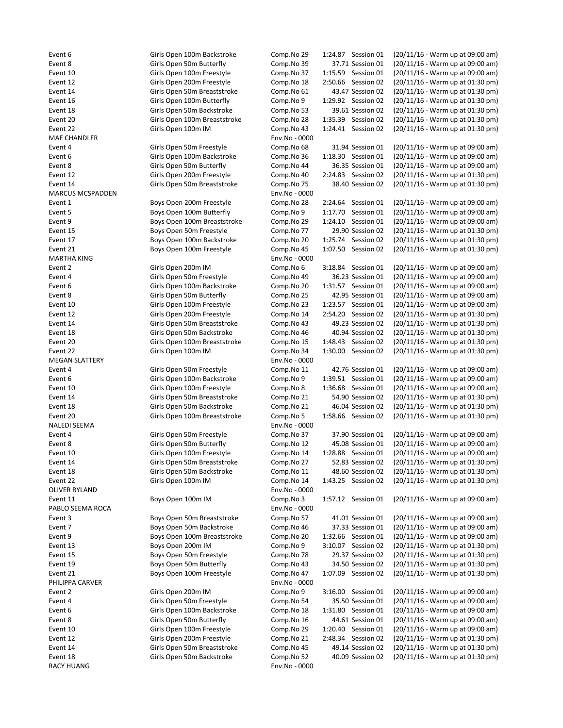MAE CHANDLER Env.No - 0000 MARCUS MCSPADDEN Env.No - 0000 MARTHA KING Env.No - 0000 MEGAN SLATTERY Env.No - 0000 NALEDI SEEMA Env.No - 0000 OLIVER RYLAND **Env.No** - 0000 PABLO SEEMA ROCA Env.No - 0000 PHILIPPA CARVER **Env.No** - 0000 RACY HUANG **Env.No** - 0000

Event 6 Girls Open 100m Backstroke Comp.No 29 1:24.87 Session 01 (20/11/16 - Warm up at 09:00 am) Event 8 Girls Open 50m Butterfly Comp.No 39 37.71 Session 01 (20/11/16 - Warm up at 09:00 am) Event 10 Girls Open 100m Freestyle Comp.No 37 1:15.59 Session 01 (20/11/16 - Warm up at 09:00 am) Event 12 Girls Open 200m Freestyle Comp.No 18 2:50.66 Session 02 (20/11/16 - Warm up at 01:30 pm) Event 14 Girls Open 50m Breaststroke Comp.No 61 43.47 Session 02 (20/11/16 - Warm up at 01:30 pm) Event 16 Girls Open 100m Butterfly Comp.No 9 1:29.92 Session 02 (20/11/16 - Warm up at 01:30 pm) Event 18 Girls Open 50m Backstroke Comp.No 53 39.61 Session 02 (20/11/16 - Warm up at 01:30 pm) Event 20 Girls Open 100m Breaststroke Comp.No 28 1:35.39 Session 02 (20/11/16 - Warm up at 01:30 pm) Event 22 Girls Open 100m IM Comp.No 43 1:24.41 Session 02 (20/11/16 - Warm up at 01:30 pm) Event 4 Girls Open 50m Freestyle Comp.No 68 31.94 Session 01 (20/11/16 - Warm up at 09:00 am) Event 6 Girls Open 100m Backstroke Comp.No 36 1:18.30 Session 01 (20/11/16 - Warm up at 09:00 am) Event 8 Girls Open 50m Butterfly Comp.No 44 36.35 Session 01 (20/11/16 - Warm up at 09:00 am) Event 12 Girls Open 200m Freestyle Comp.No 40 2:24.83 Session 02 (20/11/16 - Warm up at 01:30 pm) Event 14 Girls Open 50m Breaststroke Comp.No 75 38.40 Session 02 (20/11/16 - Warm up at 01:30 pm) Event 1 Boys Open 200m Freestyle Comp.No 28 2:24.64 Session 01 (20/11/16 - Warm up at 09:00 am) Event 5 Boys Open 100m Butterfly Comp.No 9 1:17.70 Session 01 (20/11/16 - Warm up at 09:00 am) Event 9 Boys Open 100m Breaststroke Comp.No 29 1:24.10 Session 01 (20/11/16 - Warm up at 09:00 am) Event 15 Boys Open 50m Freestyle Comp.No 77 29.90 Session 02 (20/11/16 - Warm up at 01:30 pm) Event 17 Boys Open 100m Backstroke Comp.No 20 1:25.74 Session 02 (20/11/16 - Warm up at 01:30 pm) Event 21 Boys Open 100m Freestyle Comp.No 45 1:07.50 Session 02 (20/11/16 - Warm up at 01:30 pm) Event 2 Girls Open 200m IM Comp.No 6 3:18.84 Session 01 (20/11/16 - Warm up at 09:00 am) Event 4 Girls Open 50m Freestyle Comp.No 49 36.23 Session 01 (20/11/16 - Warm up at 09:00 am) Event 6 Girls Open 100m Backstroke Comp.No 20 1:31.57 Session 01 (20/11/16 - Warm up at 09:00 am) Event 8 Girls Open 50m Butterfly Comp.No 25 42.95 Session 01 (20/11/16 - Warm up at 09:00 am) Event 10 Girls Open 100m Freestyle Comp.No 23 1:23.57 Session 01 (20/11/16 - Warm up at 09:00 am) Event 12 Girls Open 200m Freestyle Comp.No 14 2:54.20 Session 02 (20/11/16 - Warm up at 01:30 pm) Event 14 Girls Open 50m Breaststroke Comp.No 43 49.23 Session 02 (20/11/16 - Warm up at 01:30 pm) Event 18 Girls Open 50m Backstroke Comp.No 46 40.94 Session 02 (20/11/16 - Warm up at 01:30 pm) Event 20 Girls Open 100m Breaststroke Comp.No 15 1:48.43 Session 02 (20/11/16 - Warm up at 01:30 pm) Event 22 Girls Open 100m IM Comp.No 34 1:30.00 Session 02 (20/11/16 - Warm up at 01:30 pm) Event 4 Girls Open 50m Freestyle Comp.No 11 42.76 Session 01 (20/11/16 - Warm up at 09:00 am) Event 6 Girls Open 100m Backstroke Comp.No 9 1:39.51 Session 01 (20/11/16 - Warm up at 09:00 am) Event 10 Girls Open 100m Freestyle Comp.No 8 1:36.68 Session 01 (20/11/16 - Warm up at 09:00 am) Event 14 Girls Open 50m Breaststroke Comp.No 21 54.90 Session 02 (20/11/16 - Warm up at 01:30 pm) Event 18 Girls Open 50m Backstroke Comp.No 21 46.04 Session 02 (20/11/16 - Warm up at 01:30 pm) Event 20 Girls Open 100m Breaststroke Comp.No 5 1:58.66 Session 02 (20/11/16 - Warm up at 01:30 pm) Event 4 Girls Open 50m Freestyle Comp.No 37 37.90 Session 01 (20/11/16 - Warm up at 09:00 am) Event 8 Girls Open 50m Butterfly Comp.No 12 45.08 Session 01 (20/11/16 - Warm up at 09:00 am) Event 10 Girls Open 100m Freestyle Comp.No 14 1:28.88 Session 01 (20/11/16 - Warm up at 09:00 am) Event 14 Girls Open 50m Breaststroke Comp.No 27 52.83 Session 02 (20/11/16 - Warm up at 01:30 pm) Event 18 Girls Open 50m Backstroke Comp.No 11 48.60 Session 02 (20/11/16 - Warm up at 01:30 pm) Event 22 Girls Open 100m IM Comp.No 14 1:43.25 Session 02 (20/11/16 - Warm up at 01:30 pm) Event 11 Boys Open 100m IM Comp.No 3 1:57.12 Session 01 (20/11/16 - Warm up at 09:00 am) Event 3 Boys Open 50m Breaststroke Comp.No 57 41.01 Session 01 (20/11/16 - Warm up at 09:00 am) Event 7 Boys Open 50m Backstroke Comp.No 46 37.33 Session 01 (20/11/16 - Warm up at 09:00 am) Event 9 Boys Open 100m Breaststroke Comp.No 20 1:32.66 Session 01 (20/11/16 - Warm up at 09:00 am) Event 13 Boys Open 200m IM Comp.No 9 3:10.07 Session 02 (20/11/16 - Warm up at 01:30 pm) Event 15 Boys Open 50m Freestyle Comp.No 78 29.37 Session 02 (20/11/16 - Warm up at 01:30 pm) Event 19 Boys Open 50m Butterfly Comp.No 43 34.50 Session 02 (20/11/16 - Warm up at 01:30 pm) Event 21 Boys Open 100m Freestyle Comp.No 47 1:07.09 Session 02 (20/11/16 - Warm up at 01:30 pm) Event 2 Girls Open 200m IM Comp.No 9 3:16.00 Session 01 (20/11/16 - Warm up at 09:00 am) Event 4 Girls Open 50m Freestyle Comp.No 54 35.50 Session 01 (20/11/16 - Warm up at 09:00 am) Event 6 Girls Open 100m Backstroke Comp.No 18 1:31.80 Session 01 (20/11/16 - Warm up at 09:00 am) Event 8 Girls Open 50m Butterfly Comp.No 16 44.61 Session 01 (20/11/16 - Warm up at 09:00 am) Event 10 Girls Open 100m Freestyle Comp.No 29 1:20.40 Session 01 (20/11/16 - Warm up at 09:00 am) Event 12 Girls Open 200m Freestyle Comp.No 21 2:48.34 Session 02 (20/11/16 - Warm up at 01:30 pm) Event 14 Girls Open 50m Breaststroke Comp.No 45 49.14 Session 02 (20/11/16 - Warm up at 01:30 pm) Event 18 Girls Open 50m Backstroke Comp.No 52 40.09 Session 02 (20/11/16 - Warm up at 01:30 pm)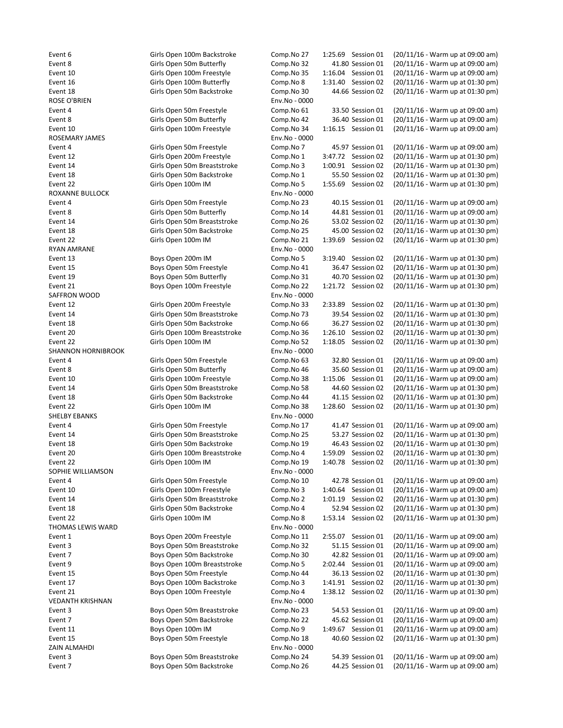Event 18 Girls Open 50m Backstroke Comp. ROSE O'BRIEN Env.No - 0000 Event 4 Girls Open 50m Freestyle Comp. Event 8 Girls Open 50m Butterfly Comp. Event 10 Girls Open 100m Freestyle Comp. ROSEMARY JAMES Env.No - 0000 ROXANNE BULLOCK **Env.** RYAN AMRANE Env.No - 0000 Event 13 Boys Open 200m IM Go SAFFRON WOOD **Env.** SHANNON HORNIBROOK **Env.** Event 22 Girls Open 100m IM Comp. SHELBY EBANKS Env.No - 0000 SOPHIE WILLIAMSON Env.No - 0000 THOMAS LEWIS WARD **Environment Contract Contract Contract Contract Contract Contract Contract Contract Contract Contract Contract Contract Contract Contract Contract Contract Contract Contract Contract Contract Contract Co** Event 1 Boys Open 200m Freestyle Comp. VEDANTH KRISHNAN Env.No - 0000 ZAIN ALMAHDI Env.No - 0000 Event 7 Boys Open 50m Backstroke Comp.

Event 6 Girls Open 100m Backstroke Comp. Event 8 Girls Open 50m Butterfly Comp. Event 10 Girls Open 100m Freestyle Comp. Event 16 Girls Open 100m Butterfly Comp.

Event 4 Girls Open 50m Freestyle Comp. Event 12 Girls Open 200m Freestyle Comp. Event 14 Girls Open 50m Breaststroke Comp. Event 18 Girls Open 50m Backstroke Comp. Event 22 Girls Open 100m IM Government 22

Event 4 Girls Open 50m Freestyle Comp. Event 8 Girls Open 50m Butterfly Comp. Event 14 Girls Open 50m Breaststroke Comp. Event 18 Girls Open 50m Backstroke Comp. Event 22 Girls Open 100m IM Co

Event 15 **Boys Open 50m Freestyle** Comp. Event 19 Boys Open 50m Butterfly Comp. Event 21 Boys Open 100m Freestyle Comp.

Event 12 Girls Open 200m Freestyle Comp. Event 14 Girls Open 50m Breaststroke Comp. Event 18 Girls Open 50m Backstroke Comp. Event 20 Girls Open 100m Breaststroke Comp. Event 22 Girls Open 100m IM Comp.

Event 4 Girls Open 50m Freestyle Comp. Event 8 Girls Open 50m Butterfly Comp. Event 10 Girls Open 100m Freestyle Comp. Event 14 Girls Open 50m Breaststroke Comp. Event 18 Girls Open 50m Backstroke Comp.

Event 4 Girls Open 50m Freestyle Comp. Event 14 Girls Open 50m Breaststroke Comp. Event 18 Girls Open 50m Backstroke Comp. Event 20 Girls Open 100m Breaststroke Comp. Event 22 Girls Open 100m IM Comp.

Event 4 Girls Open 50m Freestyle Comp. Event 10 Girls Open 100m Freestyle Comp. Event 14 Girls Open 50m Breaststroke Comp. Event 18 Girls Open 50m Backstroke Comp. Event 22 Girls Open 100m IM Co

Event 3 Boys Open 50m Breaststroke Comp. Event 7 Boys Open 50m Backstroke Comp. Event 9 Boys Open 100m Breaststroke Comp. Event 15 Boys Open 50m Freestyle Comp. Event 17 Boys Open 100m Backstroke Comp. Event 21 Boys Open 100m Freestyle Comp.

Event 3 Boys Open 50m Breaststroke Comp. Event 7 **Boys Open 50m Backstroke** Comp. Event 11 Boys Open 100m IM Comp. Event 15 Boys Open 50m Freestyle Comp.

Event 3 Boys Open 50m Breaststroke Comp.

| mp.No 27           | 1:25.69 | Session 01         | (20/11/16 - Warm up at 09:00 am) |
|--------------------|---------|--------------------|----------------------------------|
| mp.No 32           |         | 41.80 Session 01   | (20/11/16 - Warm up at 09:00 am) |
| mp.No 35           | 1:16.04 | Session 01         | (20/11/16 - Warm up at 09:00 am) |
| mp.No 8            | 1:31.40 | Session 02         | (20/11/16 - Warm up at 01:30 pm) |
| mp.No 30           |         | 44.66 Session 02   | (20/11/16 - Warm up at 01:30 pm) |
| 0000 - Mo <i>.</i> |         |                    |                                  |
| mp.No 61           |         | 33.50 Session 01   | (20/11/16 - Warm up at 09:00 am) |
| mp.No 42           |         | 36.40 Session 01   | (20/11/16 - Warm up at 09:00 am) |
| mp.No 34           | 1:16.15 | Session 01         | (20/11/16 - Warm up at 09:00 am) |
| 0000 - Mo <i>.</i> |         |                    |                                  |
| mp.No 7            |         | 45.97 Session 01   | (20/11/16 - Warm up at 09:00 am) |
|                    |         |                    |                                  |
| mp.No 1            | 3:47.72 | Session 02         | (20/11/16 - Warm up at 01:30 pm) |
| mp.No 3            | 1:00.91 | Session 02         | (20/11/16 - Warm up at 01:30 pm) |
| mp.No 1            |         | 55.50 Session 02   | (20/11/16 - Warm up at 01:30 pm) |
| mp.No 5            | 1:55.69 | Session 02         | (20/11/16 - Warm up at 01:30 pm) |
| 0000 - Mo <i>.</i> |         |                    |                                  |
| mp.No 23           |         | 40.15 Session 01   | (20/11/16 - Warm up at 09:00 am) |
| mp.No 14           |         | 44.81 Session 01   | (20/11/16 - Warm up at 09:00 am) |
| mp.No 26           |         | 53.02 Session 02   | (20/11/16 - Warm up at 01:30 pm) |
| mp.No 25           |         | 45.00 Session 02   | (20/11/16 - Warm up at 01:30 pm) |
| mp.No 21           | 1:39.69 | Session 02         | (20/11/16 - Warm up at 01:30 pm) |
| 0000 - Mo <i>.</i> |         |                    |                                  |
|                    |         |                    |                                  |
| mp.No 5            | 3:19.40 | Session 02         | (20/11/16 - Warm up at 01:30 pm) |
| mp.No 41           |         | 36.47 Session 02   | (20/11/16 - Warm up at 01:30 pm) |
| mp.No 31           |         | 40.70 Session 02   | (20/11/16 - Warm up at 01:30 pm) |
| mp.No 22           | 1:21.72 | Session 02         | (20/11/16 - Warm up at 01:30 pm) |
| 0000 - v.No        |         |                    |                                  |
| mp.No 33           | 2:33.89 | Session 02         | (20/11/16 - Warm up at 01:30 pm) |
| mp.No 73           |         | 39.54 Session 02   | (20/11/16 - Warm up at 01:30 pm) |
| mp.No 66           |         | 36.27 Session 02   | (20/11/16 - Warm up at 01:30 pm) |
| mp.No 36           | 1:26.10 | Session 02         | (20/11/16 - Warm up at 01:30 pm) |
| mp.No 52           | 1:18.05 | Session 02         | (20/11/16 - Warm up at 01:30 pm) |
| v.No - 0000        |         |                    |                                  |
| mp.No 63           |         | 32.80 Session 01   | (20/11/16 - Warm up at 09:00 am) |
| mp.No 46           |         | 35.60 Session 01   | (20/11/16 - Warm up at 09:00 am) |
|                    |         |                    |                                  |
| mp.No 38           | 1:15.06 | Session 01         | (20/11/16 - Warm up at 09:00 am) |
| mp.No 58           |         | 44.60 Session 02   | (20/11/16 - Warm up at 01:30 pm) |
| mp.No 44           |         | 41.15 Session 02   | (20/11/16 - Warm up at 01:30 pm) |
| mp.No 38           | 1:28.60 | Session 02         | (20/11/16 - Warm up at 01:30 pm) |
| 0000 - Mo <i>.</i> |         |                    |                                  |
| mp.No 17           |         | 41.47 Session 01   | (20/11/16 - Warm up at 09:00 am) |
| mp.No 25           |         | 53.27 Session 02   | (20/11/16 - Warm up at 01:30 pm) |
| mp.No 19           |         | 46.43 Session 02   | (20/11/16 - Warm up at 01:30 pm) |
| mp.No 4            | 1:59.09 | Session 02         | (20/11/16 - Warm up at 01:30 pm) |
| mp.No 19           |         | 1:40.78 Session 02 | (20/11/16 - Warm up at 01:30 pm) |
| v.No - 0000        |         |                    |                                  |
| mp.No 10           |         | 42.78 Session 01   | (20/11/16 - Warm up at 09:00 am) |
|                    |         |                    | (20/11/16 - Warm up at 09:00 am) |
| mp.No 3            | 1:40.64 | Session 01         |                                  |
| mp.No 2            | 1:01.19 | Session 02         | (20/11/16 - Warm up at 01:30 pm) |
| mp.No 4            |         | 52.94 Session 02   | (20/11/16 - Warm up at 01:30 pm) |
| mp.No 8            |         | 1:53.14 Session 02 | (20/11/16 - Warm up at 01:30 pm) |
| 0000 - v.No        |         |                    |                                  |
| mp.No 11           |         | 2:55.07 Session 01 | (20/11/16 - Warm up at 09:00 am) |
| mp.No 32           |         | 51.15 Session 01   | (20/11/16 - Warm up at 09:00 am) |
| mp.No 30           |         | 42.82 Session 01   | (20/11/16 - Warm up at 09:00 am) |
| mp.No 5            |         | 2:02.44 Session 01 | (20/11/16 - Warm up at 09:00 am) |
| mp.No 44           |         | 36.13 Session 02   | (20/11/16 - Warm up at 01:30 pm) |
| mp.No 3            | 1:41.91 | Session 02         | (20/11/16 - Warm up at 01:30 pm) |
| mp.No 4            | 1:38.12 | Session 02         | (20/11/16 - Warm up at 01:30 pm) |
|                    |         |                    |                                  |
| 0000 - v.No        |         |                    |                                  |
| mp.No 23           |         | 54.53 Session 01   | (20/11/16 - Warm up at 09:00 am) |
| mp.No 22           |         | 45.62 Session 01   | (20/11/16 - Warm up at 09:00 am) |
| mp.No 9            | 1:49.67 | Session 01         | (20/11/16 - Warm up at 09:00 am) |
| mp.No 18           |         | 40.60 Session 02   | (20/11/16 - Warm up at 01:30 pm) |
| v.No - 0000        |         |                    |                                  |
| mp.No 24           |         | 54.39 Session 01   | (20/11/16 - Warm up at 09:00 am) |
| mp.No 26           |         | 44.25 Session 01   | (20/11/16 - Warm up at 09:00 am) |
|                    |         |                    |                                  |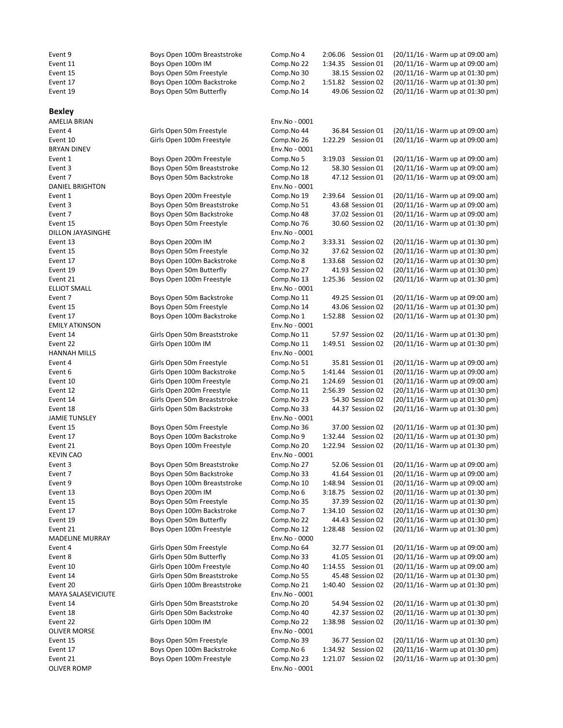| Event 9                | Boys Open 100m Breaststroke                              | Comp.No 4                | 2:06.06 Session 01                     | (20/11/16 - Warm up at 09:00 am)                                     |
|------------------------|----------------------------------------------------------|--------------------------|----------------------------------------|----------------------------------------------------------------------|
| Event 11               | Boys Open 100m IM                                        | Comp.No 22               | 1:34.35 Session 01                     | (20/11/16 - Warm up at 09:00 am)                                     |
| Event 15               | Boys Open 50m Freestyle                                  | Comp.No 30               | 38.15 Session 02                       | (20/11/16 - Warm up at 01:30 pm)                                     |
| Event 17               | Boys Open 100m Backstroke                                | Comp.No 2                | 1:51.82 Session 02                     | (20/11/16 - Warm up at 01:30 pm)                                     |
| Event 19               | Boys Open 50m Butterfly                                  | Comp.No 14               | 49.06 Session 02                       | (20/11/16 - Warm up at 01:30 pm)                                     |
| <b>Bexley</b>          |                                                          |                          |                                        |                                                                      |
| <b>AMELIA BRIAN</b>    |                                                          | Env.No - 0001            |                                        |                                                                      |
| Event 4                | Girls Open 50m Freestyle                                 | Comp.No 44               | 36.84 Session 01                       | (20/11/16 - Warm up at 09:00 am)                                     |
| Event 10               | Girls Open 100m Freestyle                                | Comp.No 26               | 1:22.29 Session 01                     | (20/11/16 - Warm up at 09:00 am)                                     |
| <b>BRYAN DINEV</b>     |                                                          | Env.No - 0001            |                                        |                                                                      |
| Event 1                | Boys Open 200m Freestyle                                 | Comp.No 5                | 3:19.03 Session 01                     | (20/11/16 - Warm up at 09:00 am)                                     |
| Event 3                | Boys Open 50m Breaststroke                               | Comp.No 12               | 58.30 Session 01                       | (20/11/16 - Warm up at 09:00 am)                                     |
| Event 7                | Boys Open 50m Backstroke                                 | Comp.No 18               | 47.12 Session 01                       | (20/11/16 - Warm up at 09:00 am)                                     |
| <b>DANIEL BRIGHTON</b> |                                                          | Env.No - 0001            |                                        |                                                                      |
| Event 1                | Boys Open 200m Freestyle                                 | Comp.No 19               | 2:39.64 Session 01                     | (20/11/16 - Warm up at 09:00 am)                                     |
| Event 3                | Boys Open 50m Breaststroke                               | Comp.No 51               | 43.68 Session 01                       | (20/11/16 - Warm up at 09:00 am)                                     |
| Event 7                | Boys Open 50m Backstroke                                 | Comp.No 48               | 37.02 Session 01                       | (20/11/16 - Warm up at 09:00 am)                                     |
| Event 15               | Boys Open 50m Freestyle                                  | Comp.No 76               | 30.60 Session 02                       | (20/11/16 - Warm up at 01:30 pm)                                     |
| DILLON JAYASINGHE      |                                                          | Env.No - 0001            |                                        |                                                                      |
| Event 13               | Boys Open 200m IM                                        | Comp.No 2                | 3:33.31 Session 02                     | (20/11/16 - Warm up at 01:30 pm)                                     |
| Event 15               | Boys Open 50m Freestyle                                  | Comp.No 32               | 37.62 Session 02                       | (20/11/16 - Warm up at 01:30 pm)                                     |
| Event 17               | Boys Open 100m Backstroke                                | Comp.No 8                | 1:33.68 Session 02                     | (20/11/16 - Warm up at 01:30 pm)                                     |
| Event 19               | Boys Open 50m Butterfly                                  | Comp.No 27               | 41.93 Session 02                       | (20/11/16 - Warm up at 01:30 pm)                                     |
| Event 21               | Boys Open 100m Freestyle                                 | Comp.No 13               | 1:25.36 Session 02                     | (20/11/16 - Warm up at 01:30 pm)                                     |
| <b>ELLIOT SMALL</b>    |                                                          | Env.No - 0001            |                                        |                                                                      |
| Event 7                | Boys Open 50m Backstroke                                 | Comp.No 11               | 49.25 Session 01                       | (20/11/16 - Warm up at 09:00 am)                                     |
| Event 15               | Boys Open 50m Freestyle                                  | Comp.No 14               | 43.06 Session 02                       | (20/11/16 - Warm up at 01:30 pm)                                     |
| Event 17               | Boys Open 100m Backstroke                                | Comp.No 1                | 1:52.88 Session 02                     | (20/11/16 - Warm up at 01:30 pm)                                     |
| <b>EMILY ATKINSON</b>  |                                                          | Env.No - 0001            |                                        |                                                                      |
| Event 14               | Girls Open 50m Breaststroke                              | Comp.No 11               | 57.97 Session 02                       | (20/11/16 - Warm up at 01:30 pm)                                     |
| Event 22               | Girls Open 100m IM                                       | Comp.No 11               | 1:49.51 Session 02                     | (20/11/16 - Warm up at 01:30 pm)                                     |
| <b>HANNAH MILLS</b>    |                                                          | Env.No - 0001            |                                        |                                                                      |
| Event 4                | Girls Open 50m Freestyle                                 | Comp.No 51               | 35.81 Session 01                       | (20/11/16 - Warm up at 09:00 am)                                     |
| Event 6                | Girls Open 100m Backstroke                               | Comp.No 5                | 1:41.44 Session 01                     | (20/11/16 - Warm up at 09:00 am)                                     |
| Event 10               | Girls Open 100m Freestyle                                | Comp.No 21               | 1:24.69 Session 01                     | (20/11/16 - Warm up at 09:00 am)                                     |
| Event 12               | Girls Open 200m Freestyle<br>Girls Open 50m Breaststroke | Comp.No 11               | 2:56.39 Session 02<br>54.30 Session 02 | (20/11/16 - Warm up at 01:30 pm)<br>(20/11/16 - Warm up at 01:30 pm) |
| Event 14<br>Event 18   | Girls Open 50m Backstroke                                | Comp.No 23<br>Comp.No 33 | 44.37 Session 02                       | (20/11/16 - Warm up at 01:30 pm)                                     |
| <b>JAMIE TUNSLEY</b>   |                                                          | Env.No - 0001            |                                        |                                                                      |
| Event 15               | Boys Open 50m Freestyle                                  | Comp.No 36               | 37.00 Session 02                       | (20/11/16 - Warm up at 01:30 pm)                                     |
| Event 17               | Boys Open 100m Backstroke                                | Comp.No 9                | 1:32.44 Session 02                     | (20/11/16 - Warm up at 01:30 pm)                                     |
| Event 21               | Boys Open 100m Freestyle                                 | Comp.No 20               | 1:22.94 Session 02                     | (20/11/16 - Warm up at 01:30 pm)                                     |
| <b>KEVIN CAO</b>       |                                                          | Env.No - 0001            |                                        |                                                                      |
| Event 3                | Boys Open 50m Breaststroke                               | Comp.No 27               | 52.06 Session 01                       | (20/11/16 - Warm up at 09:00 am)                                     |
| Event 7                | Boys Open 50m Backstroke                                 | Comp.No 33               | 41.64 Session 01                       | (20/11/16 - Warm up at 09:00 am)                                     |
| Event 9                | Boys Open 100m Breaststroke                              | Comp.No 10               | 1:48.94 Session 01                     | (20/11/16 - Warm up at 09:00 am)                                     |
| Event 13               | Boys Open 200m IM                                        | Comp.No 6                | 3:18.75 Session 02                     | (20/11/16 - Warm up at 01:30 pm)                                     |
| Event 15               | Boys Open 50m Freestyle                                  | Comp.No 35               | 37.39 Session 02                       | (20/11/16 - Warm up at 01:30 pm)                                     |
| Event 17               | Boys Open 100m Backstroke                                | Comp.No 7                | 1:34.10 Session 02                     | (20/11/16 - Warm up at 01:30 pm)                                     |
| Event 19               | Boys Open 50m Butterfly                                  | Comp.No 22               | 44.43 Session 02                       | (20/11/16 - Warm up at 01:30 pm)                                     |
| Event 21               | Boys Open 100m Freestyle                                 | Comp.No 12               | 1:28.48 Session 02                     | (20/11/16 - Warm up at 01:30 pm)                                     |
| <b>MADELINE MURRAY</b> |                                                          | Env.No - 0000            |                                        |                                                                      |
| Event 4                | Girls Open 50m Freestyle                                 | Comp.No 64               | 32.77 Session 01                       | (20/11/16 - Warm up at 09:00 am)                                     |
| Event 8                | Girls Open 50m Butterfly                                 | Comp.No 33               | 41.05 Session 01                       | (20/11/16 - Warm up at 09:00 am)                                     |
| Event 10               | Girls Open 100m Freestyle                                | Comp.No 40               | 1:14.55 Session 01                     | (20/11/16 - Warm up at 09:00 am)                                     |
| Event 14               | Girls Open 50m Breaststroke                              | Comp.No 55               | 45.48 Session 02                       | (20/11/16 - Warm up at 01:30 pm)                                     |
| Event 20               | Girls Open 100m Breaststroke                             | Comp.No 21               | 1:40.40 Session 02                     | (20/11/16 - Warm up at 01:30 pm)                                     |
| MAYA SALASEVICIUTE     |                                                          | Env.No - 0001            |                                        |                                                                      |
| Event 14               | Girls Open 50m Breaststroke                              | Comp.No 20               | 54.94 Session 02                       | (20/11/16 - Warm up at 01:30 pm)                                     |
| Event 18               | Girls Open 50m Backstroke                                | Comp.No 40               | 42.37 Session 02                       | (20/11/16 - Warm up at 01:30 pm)                                     |
| Event 22               | Girls Open 100m IM                                       | Comp.No 22               | 1:38.98 Session 02                     | (20/11/16 - Warm up at 01:30 pm)                                     |
| <b>OLIVER MORSE</b>    |                                                          | Env.No - 0001            |                                        |                                                                      |
| Event 15               | Boys Open 50m Freestyle                                  | Comp.No 39               | 36.77 Session 02                       | (20/11/16 - Warm up at 01:30 pm)                                     |
| Event 17               | Boys Open 100m Backstroke                                | Comp.No 6                | 1:34.92 Session 02                     | (20/11/16 - Warm up at 01:30 pm)                                     |
| Event 21               | Boys Open 100m Freestyle                                 | Comp.No 23               | 1:21.07 Session 02                     | (20/11/16 - Warm up at 01:30 pm)                                     |
| OLIVER ROMP            |                                                          | Env.No - 0001            |                                        |                                                                      |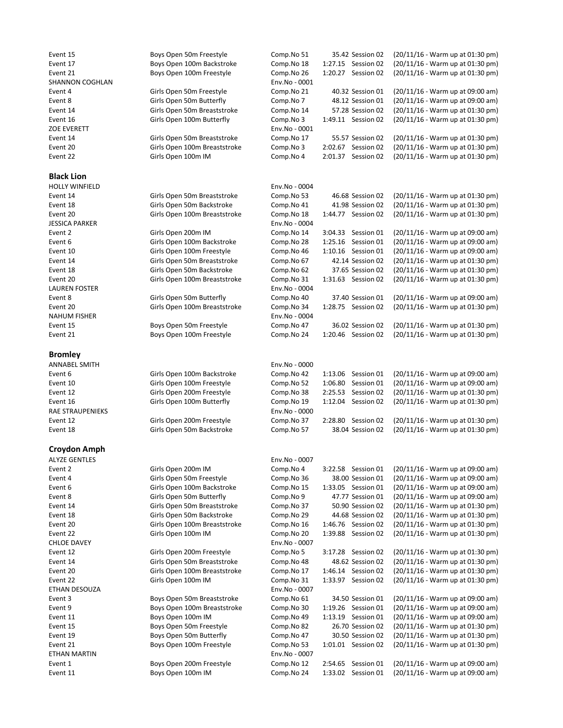### Black Lion

```
HOLLY WINFIELD
JESSICA PARKER
LAUREN FOSTER
NAHUM FISHER
```
## Bromley

# Croydon Amph

**ALYZE GENTLES** CHLOE DAVEY ETHAN DESOUZA ETHAN MARTIN Event 1 Boys Open 200m Freestyle Comp.No 12 2:54.65 Session 01 (20/11/16 - Warm up at 09:00 am)<br>Event 11 Boys Open 100m IM Comp.No 24 1:33.02 Session 01 (20/11/16 - Warm up at 09:00 am)

| Event 15                 | Boys Open 50m Freestyle                                  | Comp.No 51                  | 35.42 Session 02                         | (20/11/16 - Warm up at 01:30 pm)                                     |
|--------------------------|----------------------------------------------------------|-----------------------------|------------------------------------------|----------------------------------------------------------------------|
| Event 17                 | Boys Open 100m Backstroke                                | Comp.No 18                  | 1:27.15 Session 02                       | (20/11/16 - Warm up at 01:30 pm)                                     |
| Event 21                 | Boys Open 100m Freestyle                                 | Comp.No 26                  | Session 02<br>1:20.27                    | (20/11/16 - Warm up at 01:30 pm)                                     |
| SHANNON COGHLAN          |                                                          | Env.No - 0001               |                                          |                                                                      |
| Event 4                  | Girls Open 50m Freestyle                                 | Comp.No 21                  | 40.32 Session 01                         | (20/11/16 - Warm up at 09:00 am)                                     |
| Event 8                  | Girls Open 50m Butterfly                                 | Comp.No 7                   | 48.12 Session 01                         | (20/11/16 - Warm up at 09:00 am)                                     |
| Event 14                 | Girls Open 50m Breaststroke                              | Comp.No 14                  | 57.28 Session 02                         | (20/11/16 - Warm up at 01:30 pm)                                     |
| Event 16                 | Girls Open 100m Butterfly                                | Comp.No 3                   | 1:49.11 Session 02                       | (20/11/16 - Warm up at 01:30 pm)                                     |
| ZOE EVERETT              |                                                          | Env.No - 0001               |                                          |                                                                      |
| Event 14                 | Girls Open 50m Breaststroke                              | Comp.No 17                  | 55.57 Session 02                         | (20/11/16 - Warm up at 01:30 pm)                                     |
| Event 20                 | Girls Open 100m Breaststroke                             | Comp.No 3                   | 2:02.67 Session 02                       | (20/11/16 - Warm up at 01:30 pm)                                     |
| Event 22                 | Girls Open 100m IM                                       | Comp.No 4                   | 2:01.37 Session 02                       | (20/11/16 - Warm up at 01:30 pm)                                     |
| <b>Black Lion</b>        |                                                          |                             |                                          |                                                                      |
| HOLLY WINFIELD           |                                                          | Env.No - 0004               |                                          |                                                                      |
| Event 14                 | Girls Open 50m Breaststroke                              | Comp.No 53                  | 46.68 Session 02                         | (20/11/16 - Warm up at 01:30 pm)                                     |
| Event 18                 | Girls Open 50m Backstroke                                | Comp.No 41                  | 41.98 Session 02                         | (20/11/16 - Warm up at 01:30 pm)                                     |
| Event 20                 | Girls Open 100m Breaststroke                             | Comp.No 18                  | 1:44.77 Session 02                       | (20/11/16 - Warm up at 01:30 pm)                                     |
| JESSICA PARKER           |                                                          | Env.No - 0004               |                                          |                                                                      |
| Event 2                  | Girls Open 200m IM                                       | Comp.No 14                  | Session 01<br>3:04.33                    | (20/11/16 - Warm up at 09:00 am)                                     |
| Event 6                  | Girls Open 100m Backstroke                               | Comp.No 28                  | 1:25.16 Session 01                       | (20/11/16 - Warm up at 09:00 am)                                     |
| Event 10                 | Girls Open 100m Freestyle                                | Comp.No 46                  | 1:10.16 Session 01                       | (20/11/16 - Warm up at 09:00 am)                                     |
| Event 14                 | Girls Open 50m Breaststroke                              | Comp.No 67                  | 42.14 Session 02                         | (20/11/16 - Warm up at 01:30 pm)                                     |
| Event 18                 | Girls Open 50m Backstroke                                | Comp.No 62                  | 37.65 Session 02                         | (20/11/16 - Warm up at 01:30 pm)                                     |
| Event 20                 | Girls Open 100m Breaststroke                             | Comp.No 31                  | 1:31.63 Session 02                       | (20/11/16 - Warm up at 01:30 pm)                                     |
| LAUREN FOSTER            |                                                          | Env.No - 0004               |                                          |                                                                      |
| Event 8                  | Girls Open 50m Butterfly                                 | Comp.No 40                  | 37.40 Session 01<br>1:28.75 Session 02   | (20/11/16 - Warm up at 09:00 am)                                     |
| Event 20<br>NAHUM FISHER | Girls Open 100m Breaststroke                             | Comp.No 34<br>Env.No - 0004 |                                          | (20/11/16 - Warm up at 01:30 pm)                                     |
| Event 15                 | Boys Open 50m Freestyle                                  | Comp.No 47                  | 36.02 Session 02                         | (20/11/16 - Warm up at 01:30 pm)                                     |
| Event 21                 | Boys Open 100m Freestyle                                 | Comp.No 24                  | 1:20.46 Session 02                       | (20/11/16 - Warm up at 01:30 pm)                                     |
|                          |                                                          |                             |                                          |                                                                      |
| <b>Bromley</b>           |                                                          |                             |                                          |                                                                      |
| ANNABEL SMITH            |                                                          | Env.No - 0000               |                                          |                                                                      |
| Event 6                  | Girls Open 100m Backstroke                               | Comp.No 42                  | Session 01<br>1:13.06                    | (20/11/16 - Warm up at 09:00 am)                                     |
| Event 10                 | Girls Open 100m Freestyle                                | Comp.No 52                  | 1:06.80<br>Session 01                    | (20/11/16 - Warm up at 09:00 am)                                     |
| Event 12                 | Girls Open 200m Freestyle                                | Comp.No 38                  | Session 02<br>2:25.53                    | (20/11/16 - Warm up at 01:30 pm)                                     |
| Event 16                 | Girls Open 100m Butterfly                                | Comp.No 19                  | 1:12.04 Session 02                       | (20/11/16 - Warm up at 01:30 pm)                                     |
| RAE STRAUPENIEKS         |                                                          | Env.No - 0000               |                                          |                                                                      |
| Event 12                 | Girls Open 200m Freestyle                                | Comp.No 37                  | 2:28.80<br>Session 02                    | (20/11/16 - Warm up at 01:30 pm)                                     |
| Event 18                 | Girls Open 50m Backstroke                                | Comp.No 57                  | 38.04 Session 02                         | (20/11/16 - Warm up at 01:30 pm)                                     |
| Croydon Amph             |                                                          |                             |                                          |                                                                      |
| <b>ALYZE GENTLES</b>     |                                                          | Env.No - 0007               |                                          |                                                                      |
| Event 2                  | Girls Open 200m IM                                       | Comp.No 4                   | 3:22.58 Session 01                       | (20/11/16 - Warm up at 09:00 am)                                     |
| Event 4                  | Girls Open 50m Freestyle                                 | Comp.No 36                  | 38.00 Session 01                         | (20/11/16 - Warm up at 09:00 am)                                     |
| Event 6                  | Girls Open 100m Backstroke                               | Comp.No 15                  | 1:33.05 Session 01                       | (20/11/16 - Warm up at 09:00 am)                                     |
| Event 8                  | Girls Open 50m Butterfly                                 | Comp.No 9                   | 47.77 Session 01                         | (20/11/16 - Warm up at 09:00 am)                                     |
| Event 14                 | Girls Open 50m Breaststroke                              | Comp.No 37                  | 50.90 Session 02                         | (20/11/16 - Warm up at 01:30 pm)                                     |
| Event 18                 | Girls Open 50m Backstroke                                | Comp.No 29                  | 44.68 Session 02                         | (20/11/16 - Warm up at 01:30 pm)                                     |
| Event 20                 | Girls Open 100m Breaststroke                             | Comp.No 16                  | 1:46.76 Session 02                       | (20/11/16 - Warm up at 01:30 pm)                                     |
| Event 22                 | Girls Open 100m IM                                       | Comp.No 20                  | 1:39.88 Session 02                       | (20/11/16 - Warm up at 01:30 pm)                                     |
| CHLOE DAVEY              |                                                          | Env.No - 0007               |                                          | (20/11/16 - Warm up at 01:30 pm)                                     |
| Event 12                 | Girls Open 200m Freestyle<br>Girls Open 50m Breaststroke | Comp.No 5<br>Comp.No 48     | 3:17.28 Session 02                       |                                                                      |
| Event 14<br>Event 20     | Girls Open 100m Breaststroke                             |                             | 48.62 Session 02                         | (20/11/16 - Warm up at 01:30 pm)<br>(20/11/16 - Warm up at 01:30 pm) |
| Event 22                 | Girls Open 100m IM                                       | Comp.No 17<br>Comp.No 31    | 1:46.14 Session 02<br>1:33.97 Session 02 | (20/11/16 - Warm up at 01:30 pm)                                     |
| ETHAN DESOUZA            |                                                          | Env.No - 0007               |                                          |                                                                      |
| Event 3                  | Boys Open 50m Breaststroke                               | Comp.No 61                  | 34.50 Session 01                         | (20/11/16 - Warm up at 09:00 am)                                     |
| Event 9                  | Boys Open 100m Breaststroke                              | Comp.No 30                  | 1:19.26 Session 01                       | (20/11/16 - Warm up at 09:00 am)                                     |
| Event 11                 | Boys Open 100m IM                                        | Comp.No 49                  | 1:13.19 Session 01                       | $(20/11/16 - Warm up at 09:00 am)$                                   |
| Event 15                 | Boys Open 50m Freestyle                                  | Comp.No 82                  | 26.70 Session 02                         | (20/11/16 - Warm up at 01:30 pm)                                     |
| Event 19                 | Boys Open 50m Butterfly                                  | Comp.No 47                  | 30.50 Session 02                         | (20/11/16 - Warm up at 01:30 pm)                                     |
| Event 21                 | Boys Open 100m Freestyle                                 | Comp.No 53                  | 1:01.01 Session 02                       | (20/11/16 - Warm up at 01:30 pm)                                     |
| ETHAN MARTIN             |                                                          | Env.No - 0007               |                                          |                                                                      |
|                          |                                                          |                             |                                          |                                                                      |

1:33.02 Session 01  $(20/11/16 - Warm \text{ up at } 09:00 \text{ am})$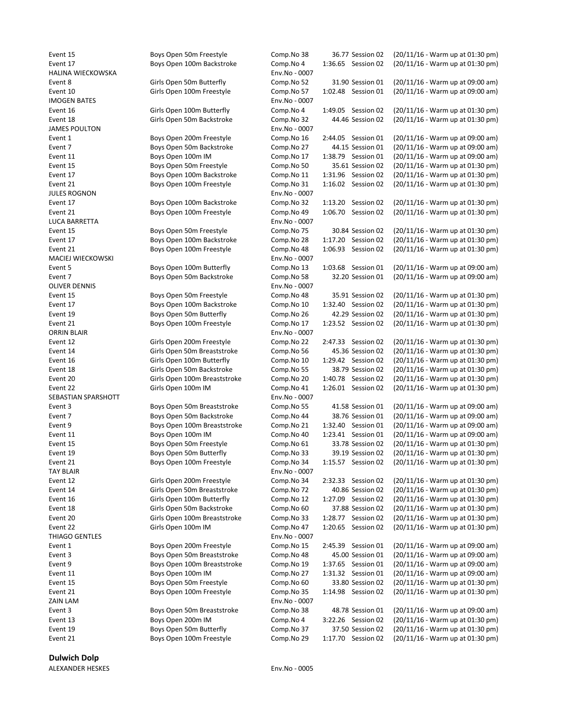Dulwich Dolp

ALEXANDER HESKES Env.No - 0005

| Boys Open 50m Freestyle      | Comp.No 38   |
|------------------------------|--------------|
| Boys Open 100m Backstroke    | Comp.No 4    |
|                              | Env.No - 000 |
| Girls Open 50m Butterfly     | Comp.No 52   |
| Girls Open 100m Freestyle    | Comp.No 57   |
|                              | Env.No - 000 |
| Girls Open 100m Butterfly    | Comp.No 4    |
| Girls Open 50m Backstroke    | Comp.No 32   |
|                              | Env.No - 000 |
| Boys Open 200m Freestyle     | Comp.No 16   |
| Boys Open 50m Backstroke     | Comp.No 27   |
| Boys Open 100m IM            | Comp.No 17   |
| Boys Open 50m Freestyle      | Comp.No 50   |
| Boys Open 100m Backstroke    | Comp.No 11   |
| Boys Open 100m Freestyle     | Comp.No 31   |
|                              | Env.No - 000 |
| Boys Open 100m Backstroke    | Comp.No 32   |
| Boys Open 100m Freestyle     | Comp.No 49   |
|                              | Env.No - 000 |
| Boys Open 50m Freestyle      | Comp.No 75   |
| Boys Open 100m Backstroke    | Comp.No 28   |
| Boys Open 100m Freestyle     | Comp.No 48   |
|                              | Env.No - 000 |
| Boys Open 100m Butterfly     | Comp.No 13   |
| Boys Open 50m Backstroke     | Comp.No 58   |
|                              | Env.No - 000 |
| Boys Open 50m Freestyle      | Comp.No 48   |
| Boys Open 100m Backstroke    | Comp.No 10   |
| Boys Open 50m Butterfly      | Comp.No 26   |
| Boys Open 100m Freestyle     | Comp.No 17   |
|                              | Env.No - 000 |
| Girls Open 200m Freestyle    | Comp.No 22   |
| Girls Open 50m Breaststroke  | Comp.No 56   |
| Girls Open 100m Butterfly    | Comp.No 10   |
| Girls Open 50m Backstroke    | Comp.No 55   |
| Girls Open 100m Breaststroke | Comp.No 20   |
| Girls Open 100m IM           | Comp.No 41   |
|                              | Env.No - 000 |
| Boys Open 50m Breaststroke   | Comp.No 55   |
| Boys Open 50m Backstroke     | Comp.No 44   |
| Boys Open 100m Breaststroke  | Comp.No 21   |
| Boys Open 100m IM            | Comp.No 40   |
| Boys Open 50m Freestyle      | Comp.No 61   |
| Boys Open 50m Butterfly      | Comp.No 33   |
| Boys Open 100m Freestyle     | Comp.No 34   |
|                              | Env.No - 000 |
| Girls Open 200m Freestyle    | Comp.No 34   |
| Girls Open 50m Breaststroke  | Comp.No 72   |
| Girls Open 100m Butterfly    | Comp.No 12   |
| Girls Open 50m Backstroke    | Comp.No 60   |
| Girls Open 100m Breaststroke | Comp.No 33   |
| Girls Open 100m IM           | Comp.No 47   |
|                              | Env.No - 000 |
| Boys Open 200m Freestyle     | Comp.No 15   |
| Boys Open 50m Breaststroke   | Comp.No 48   |
| Boys Open 100m Breaststroke  | Comp.No 19   |
| Boys Open 100m IM            | Comp.No 27   |
| Boys Open 50m Freestyle      | Comp.No 60   |
| Boys Open 100m Freestyle     | Comp.No 35   |
|                              | Env.No - 000 |
| Boys Open 50m Breaststroke   | Comp.No 38   |
| Boys Open 200m IM            | Comp.No 4    |
| Boys Open 50m Butterfly      | Comp.No 37   |

| Event 15                 | Boys Open 50m Freestyle      | Comp.No 38    | 36.77 Session 02   | (20/11/16 - Warm up at 01:30 pm) |
|--------------------------|------------------------------|---------------|--------------------|----------------------------------|
| Event 17                 | Boys Open 100m Backstroke    | Comp.No 4     | 1:36.65 Session 02 | (20/11/16 - Warm up at 01:30 pm) |
| <b>HALINA WIECKOWSKA</b> |                              | Env.No - 0007 |                    |                                  |
| Event 8                  | Girls Open 50m Butterfly     | Comp.No 52    | 31.90 Session 01   | (20/11/16 - Warm up at 09:00 am) |
| Event 10                 | Girls Open 100m Freestyle    | Comp.No 57    | 1:02.48 Session 01 | (20/11/16 - Warm up at 09:00 am) |
| <b>IMOGEN BATES</b>      |                              | Env.No - 0007 |                    |                                  |
|                          |                              |               |                    |                                  |
| Event 16                 | Girls Open 100m Butterfly    | Comp.No 4     | 1:49.05 Session 02 | (20/11/16 - Warm up at 01:30 pm) |
| Event 18                 | Girls Open 50m Backstroke    | Comp.No 32    | 44.46 Session 02   | (20/11/16 - Warm up at 01:30 pm) |
| <b>JAMES POULTON</b>     |                              | Env.No - 0007 |                    |                                  |
| Event 1                  | Boys Open 200m Freestyle     | Comp.No 16    | 2:44.05 Session 01 | (20/11/16 - Warm up at 09:00 am) |
| Event 7                  | Boys Open 50m Backstroke     | Comp.No 27    | 44.15 Session 01   | (20/11/16 - Warm up at 09:00 am) |
| Event 11                 | Boys Open 100m IM            | Comp.No 17    | 1:38.79 Session 01 | (20/11/16 - Warm up at 09:00 am) |
| Event 15                 | Boys Open 50m Freestyle      | Comp.No 50    | 35.61 Session 02   | (20/11/16 - Warm up at 01:30 pm) |
| Event 17                 | Boys Open 100m Backstroke    | Comp.No 11    | 1:31.96 Session 02 | (20/11/16 - Warm up at 01:30 pm) |
| Event 21                 | Boys Open 100m Freestyle     | Comp.No 31    | 1:16.02 Session 02 | (20/11/16 - Warm up at 01:30 pm) |
| <b>JULES ROGNON</b>      |                              | Env.No - 0007 |                    |                                  |
|                          |                              |               |                    |                                  |
| Event 17                 | Boys Open 100m Backstroke    | Comp.No 32    | 1:13.20 Session 02 | (20/11/16 - Warm up at 01:30 pm) |
| Event 21                 | Boys Open 100m Freestyle     | Comp.No 49    | 1:06.70 Session 02 | (20/11/16 - Warm up at 01:30 pm) |
| LUCA BARRETTA            |                              | Env.No - 0007 |                    |                                  |
| Event 15                 | Boys Open 50m Freestyle      | Comp.No 75    | 30.84 Session 02   | (20/11/16 - Warm up at 01:30 pm) |
| Event 17                 | Boys Open 100m Backstroke    | Comp.No 28    | 1:17.20 Session 02 | (20/11/16 - Warm up at 01:30 pm) |
| Event 21                 | Boys Open 100m Freestyle     | Comp.No 48    | 1:06.93 Session 02 | (20/11/16 - Warm up at 01:30 pm) |
| MACIEJ WIECKOWSKI        |                              | Env.No - 0007 |                    |                                  |
| Event 5                  | Boys Open 100m Butterfly     | Comp.No 13    | 1:03.68 Session 01 | (20/11/16 - Warm up at 09:00 am) |
| Event 7                  | Boys Open 50m Backstroke     | Comp.No 58    | 32.20 Session 01   | (20/11/16 - Warm up at 09:00 am) |
| <b>OLIVER DENNIS</b>     |                              |               |                    |                                  |
|                          |                              | Env.No - 0007 |                    |                                  |
| Event 15                 | Boys Open 50m Freestyle      | Comp.No 48    | 35.91 Session 02   | (20/11/16 - Warm up at 01:30 pm) |
| Event 17                 | Boys Open 100m Backstroke    | Comp.No 10    | 1:32.40 Session 02 | (20/11/16 - Warm up at 01:30 pm) |
| Event 19                 | Boys Open 50m Butterfly      | Comp.No 26    | 42.29 Session 02   | (20/11/16 - Warm up at 01:30 pm) |
| Event 21                 | Boys Open 100m Freestyle     | Comp.No 17    | 1:23.52 Session 02 | (20/11/16 - Warm up at 01:30 pm) |
| <b>ORRIN BLAIR</b>       |                              | Env.No - 0007 |                    |                                  |
| Event 12                 | Girls Open 200m Freestyle    | Comp.No 22    | 2:47.33 Session 02 | (20/11/16 - Warm up at 01:30 pm) |
| Event 14                 | Girls Open 50m Breaststroke  | Comp.No 56    | 45.36 Session 02   | (20/11/16 - Warm up at 01:30 pm) |
| Event 16                 | Girls Open 100m Butterfly    | Comp.No 10    | 1:29.42 Session 02 | (20/11/16 - Warm up at 01:30 pm) |
| Event 18                 | Girls Open 50m Backstroke    | Comp.No 55    | 38.79 Session 02   | (20/11/16 - Warm up at 01:30 pm) |
| Event 20                 | Girls Open 100m Breaststroke | Comp.No 20    | 1:40.78 Session 02 | (20/11/16 - Warm up at 01:30 pm) |
|                          |                              |               |                    |                                  |
| Event 22                 | Girls Open 100m IM           | Comp.No 41    | 1:26.01 Session 02 | (20/11/16 - Warm up at 01:30 pm) |
| SEBASTIAN SPARSHOTT      |                              | Env.No - 0007 |                    |                                  |
| Event 3                  | Boys Open 50m Breaststroke   | Comp.No 55    | 41.58 Session 01   | (20/11/16 - Warm up at 09:00 am) |
| Event 7                  | Boys Open 50m Backstroke     | Comp.No 44    | 38.76 Session 01   | (20/11/16 - Warm up at 09:00 am) |
| Event 9                  | Boys Open 100m Breaststroke  | Comp.No 21    | 1:32.40 Session 01 | (20/11/16 - Warm up at 09:00 am) |
| Event 11                 | Boys Open 100m IM            | Comp.No 40    | 1:23.41 Session 01 | (20/11/16 - Warm up at 09:00 am) |
| Event 15                 | Boys Open 50m Freestyle      | Comp.No 61    | 33.78 Session 02   | (20/11/16 - Warm up at 01:30 pm) |
| Event 19                 | Boys Open 50m Butterfly      | Comp.No 33    | 39.19 Session 02   | (20/11/16 - Warm up at 01:30 pm) |
| Event 21                 | Boys Open 100m Freestyle     | Comp.No 34    | 1:15.57 Session 02 | (20/11/16 - Warm up at 01:30 pm) |
| <b>TAY BLAIR</b>         |                              | Env.No - 0007 |                    |                                  |
| Event 12                 | Girls Open 200m Freestyle    |               |                    | (20/11/16 - Warm up at 01:30 pm) |
|                          |                              | Comp.No 34    | 2:32.33 Session 02 |                                  |
| Event 14                 | Girls Open 50m Breaststroke  | Comp.No 72    | 40.86 Session 02   | (20/11/16 - Warm up at 01:30 pm) |
| Event 16                 | Girls Open 100m Butterfly    | Comp.No 12    | 1:27.09 Session 02 | (20/11/16 - Warm up at 01:30 pm) |
| Event 18                 | Girls Open 50m Backstroke    | Comp.No 60    | 37.88 Session 02   | (20/11/16 - Warm up at 01:30 pm) |
| Event 20                 | Girls Open 100m Breaststroke | Comp.No 33    | 1:28.77 Session 02 | (20/11/16 - Warm up at 01:30 pm) |
| Event 22                 | Girls Open 100m IM           | Comp.No 47    | 1:20.65 Session 02 | (20/11/16 - Warm up at 01:30 pm) |
| THIAGO GENTLES           |                              | Env.No - 0007 |                    |                                  |
| Event 1                  | Boys Open 200m Freestyle     | Comp.No 15    | 2:45.39 Session 01 | (20/11/16 - Warm up at 09:00 am) |
| Event 3                  | Boys Open 50m Breaststroke   | Comp.No 48    | 45.00 Session 01   | (20/11/16 - Warm up at 09:00 am) |
| Event 9                  | Boys Open 100m Breaststroke  | Comp.No 19    | 1:37.65 Session 01 | (20/11/16 - Warm up at 09:00 am) |
| Event 11                 | Boys Open 100m IM            | Comp.No 27    | 1:31.32 Session 01 | (20/11/16 - Warm up at 09:00 am) |
|                          |                              |               |                    |                                  |
| Event 15                 | Boys Open 50m Freestyle      | Comp.No 60    | 33.80 Session 02   | (20/11/16 - Warm up at 01:30 pm) |
| Event 21                 | Boys Open 100m Freestyle     | Comp.No 35    | 1:14.98 Session 02 | (20/11/16 - Warm up at 01:30 pm) |
| ZAIN LAM                 |                              | Env.No - 0007 |                    |                                  |
| Event 3                  | Boys Open 50m Breaststroke   | Comp.No 38    | 48.78 Session 01   | (20/11/16 - Warm up at 09:00 am) |
| Event 13                 | Boys Open 200m IM            | Comp.No 4     | 3:22.26 Session 02 | (20/11/16 - Warm up at 01:30 pm) |
| Event 19                 | Boys Open 50m Butterfly      | Comp.No 37    | 37.50 Session 02   | (20/11/16 - Warm up at 01:30 pm) |
| Event 21                 | Boys Open 100m Freestyle     | Comp.No 29    | 1:17.70 Session 02 | (20/11/16 - Warm up at 01:30 pm) |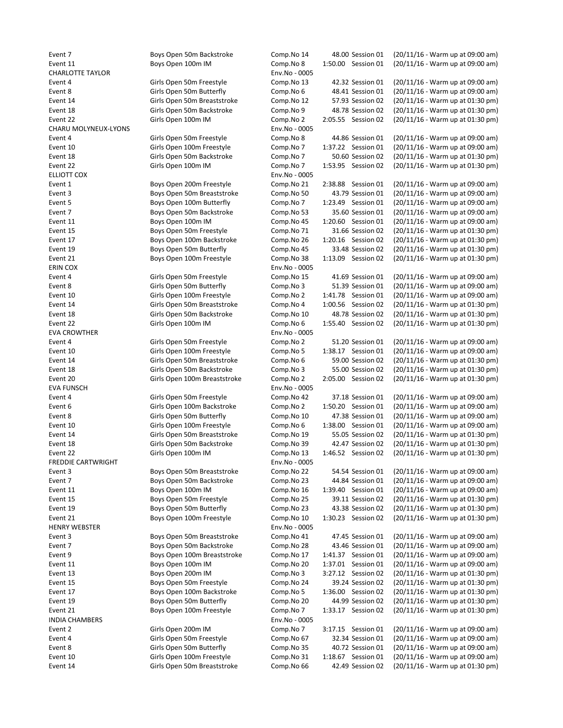CHARLOTTE TAYLOR Env.No - 0005 CHARU MOLYNEUX-LYONS Env.No - 0005 ELLIOTT COX **ENV.NO - 0005** ERIN COX Env.No - 0005 EVA CROWTHER ENVIRONMENT CONTROL ENVIRONMENT CONTROL ENVIRONMENT CONTROL ENVIRONMENT CONTROL ENVIRONMENT CONTROL EVA FUNSCH Env.No - 0005 FREDDIE CARTWRIGHT ENGLANDED TO THE SERVER OF THE SERVER OF THE SERVER OF THE SERVER OF THE SERVER OF THE SERVER OF THE SERVER OF THE SERVER OF THE SERVER OF THE SERVER OF THE SERVER OF THE SERVER OF THE SERVER OF THE SERV HENRY WEBSTER Env.No - 0005

INDIA CHAMBERS Env.No - 0005

Event 7 Boys Open 50m Backstroke Comp.No 14 48.00 Session 01 (20/11/16 - Warm up at 09:00 am) Event 11 Boys Open 100m IM Comp.No 8 1:50.00 Session 01 (20/11/16 - Warm up at 09:00 am) Event 4 Girls Open 50m Freestyle Comp.No 13 42.32 Session 01 (20/11/16 - Warm up at 09:00 am) Event 8 Girls Open 50m Butterfly Comp.No 6 48.41 Session 01 (20/11/16 - Warm up at 09:00 am) Event 14 Girls Open 50m Breaststroke Comp.No 12 57.93 Session 02 (20/11/16 - Warm up at 01:30 pm) Event 18 Girls Open 50m Backstroke Comp.No 9 48.78 Session 02 (20/11/16 - Warm up at 01:30 pm) Event 22 Girls Open 100m IM Comp.No 2 2:05.55 Session 02 (20/11/16 - Warm up at 01:30 pm) Event 4 Girls Open 50m Freestyle Comp.No 8 44.86 Session 01 (20/11/16 - Warm up at 09:00 am) Event 10 Girls Open 100m Freestyle Comp.No 7 1:37.22 Session 01 (20/11/16 - Warm up at 09:00 am) Event 18 Girls Open 50m Backstroke Comp.No 7 50.60 Session 02 (20/11/16 - Warm up at 01:30 pm) Event 22 Girls Open 100m IM Comp.No 7 1:53.95 Session 02 (20/11/16 - Warm up at 01:30 pm) Event 1 Boys Open 200m Freestyle Comp.No 21 2:38.88 Session 01 (20/11/16 - Warm up at 09:00 am) Event 3 Boys Open 50m Breaststroke Comp.No 50 43.79 Session 01 (20/11/16 - Warm up at 09:00 am) Event 5 Boys Open 100m Butterfly Comp.No 7 1:23.49 Session 01 (20/11/16 - Warm up at 09:00 am) Event 7 Boys Open 50m Backstroke Comp.No 53 35.60 Session 01 (20/11/16 - Warm up at 09:00 am) Event 11 Boys Open 100m IM Comp.No 45 1:20.60 Session 01 (20/11/16 - Warm up at 09:00 am) Event 15 Boys Open 50m Freestyle Comp.No 71 31.66 Session 02 (20/11/16 - Warm up at 01:30 pm) Event 17 Boys Open 100m Backstroke Comp.No 26 1:20.16 Session 02 (20/11/16 - Warm up at 01:30 pm) Event 19 Boys Open 50m Butterfly Comp.No 45 33.48 Session 02 (20/11/16 - Warm up at 01:30 pm)<br>Event 21 Boys Open 100m Freestyle Comp.No 38 1:13.09 Session 02 (20/11/16 - Warm up at 01:30 pm) Event 21 Boys Open 100m Freestyle Comp.No 38 1:13.09 Session 02 (20/11/16 - Warm up at 01:30 pm) Event 4 Girls Open 50m Freestyle Comp.No 15 41.69 Session 01 (20/11/16 - Warm up at 09:00 am) Event 8 Girls Open 50m Butterfly Comp.No 3 51.39 Session 01 (20/11/16 - Warm up at 09:00 am) Event 10 Girls Open 100m Freestyle Comp.No 2 1:41.78 Session 01 (20/11/16 - Warm up at 09:00 am) Event 14 Girls Open 50m Breaststroke Comp.No 4 1:00.56 Session 02 (20/11/16 - Warm up at 01:30 pm) Event 18 Girls Open 50m Backstroke Comp.No 10 48.78 Session 02 (20/11/16 - Warm up at 01:30 pm) Event 22 Girls Open 100m IM Comp.No 6 1:55.40 Session 02 (20/11/16 - Warm up at 01:30 pm) Event 4 Girls Open 50m Freestyle Comp.No 2 51.20 Session 01 (20/11/16 - Warm up at 09:00 am) Event 10 Girls Open 100m Freestyle Comp.No 5 1:38.17 Session 01 (20/11/16 - Warm up at 09:00 am) Event 14 Girls Open 50m Breaststroke Comp.No 6 59.00 Session 02 (20/11/16 - Warm up at 01:30 pm) Event 18 Girls Open 50m Backstroke Comp.No 3 55.00 Session 02 (20/11/16 - Warm up at 01:30 pm) Event 20 Girls Open 100m Breaststroke Comp.No 2 2:05.00 Session 02 (20/11/16 - Warm up at 01:30 pm) Event 4 Girls Open 50m Freestyle Comp.No 42 37.18 Session 01 (20/11/16 - Warm up at 09:00 am) Event 6 Girls Open 100m Backstroke Comp.No 2 1:50.20 Session 01 (20/11/16 - Warm up at 09:00 am) Event 8 Girls Open 50m Butterfly Comp.No 10 47.38 Session 01 (20/11/16 - Warm up at 09:00 am) Event 10 Girls Open 100m Freestyle Comp.No 6 1:38.00 Session 01 (20/11/16 - Warm up at 09:00 am) Event 14 Girls Open 50m Breaststroke Comp.No 19 55.05 Session 02 (20/11/16 - Warm up at 01:30 pm) Event 18 Girls Open 50m Backstroke Comp.No 39 42.47 Session 02 (20/11/16 - Warm up at 01:30 pm) Event 22 Girls Open 100m IM Comp.No 13 1:46.52 Session 02 (20/11/16 - Warm up at 01:30 pm) Event 3 Boys Open 50m Breaststroke Comp.No 22 54.54 Session 01 (20/11/16 - Warm up at 09:00 am) Event 7 Boys Open 50m Backstroke Comp.No 23 44.84 Session 01 (20/11/16 - Warm up at 09:00 am) Event 11 Boys Open 100m IM Comp.No 16 1:39.40 Session 01 (20/11/16 - Warm up at 09:00 am) Event 15 Boys Open 50m Freestyle Comp.No 25 39.11 Session 02 (20/11/16 - Warm up at 01:30 pm) Event 19 Boys Open 50m Butterfly Comp.No 23 43.38 Session 02 (20/11/16 - Warm up at 01:30 pm) Event 21 Boys Open 100m Freestyle Comp.No 10 1:30.23 Session 02 (20/11/16 - Warm up at 01:30 pm) Event 3 Boys Open 50m Breaststroke Comp.No 41 47.45 Session 01 (20/11/16 - Warm up at 09:00 am) Event 7 Boys Open 50m Backstroke Comp.No 28 43.46 Session 01 (20/11/16 - Warm up at 09:00 am) Event 9 Boys Open 100m Breaststroke Comp.No 17 1:41.37 Session 01 (20/11/16 - Warm up at 09:00 am) Event 11 Boys Open 100m IM Comp.No 20 1:37.01 Session 01 (20/11/16 - Warm up at 09:00 am) Event 13 Boys Open 200m IM Comp.No 3 3:27.12 Session 02 (20/11/16 - Warm up at 01:30 pm) Event 15 Boys Open 50m Freestyle Comp.No 24 39.24 Session 02 (20/11/16 - Warm up at 01:30 pm) Event 17 Boys Open 100m Backstroke Comp.No 5 1:36.00 Session 02 (20/11/16 - Warm up at 01:30 pm) Event 19 Boys Open 50m Butterfly Comp.No 20 44.99 Session 02 (20/11/16 - Warm up at 01:30 pm) Event 21 Boys Open 100m Freestyle Comp.No 7 1:33.17 Session 02 (20/11/16 - Warm up at 01:30 pm) Event 2 Girls Open 200m IM Comp.No 7 3:17.15 Session 01 (20/11/16 - Warm up at 09:00 am) Event 4 Girls Open 50m Freestyle Comp.No 67 32.34 Session 01 (20/11/16 - Warm up at 09:00 am) Event 8 Girls Open 50m Butterfly Comp.No 35 40.72 Session 01 (20/11/16 - Warm up at 09:00 am) Event 10 Girls Open 100m Freestyle Comp.No 31 1:18.67 Session 01 (20/11/16 - Warm up at 09:00 am) Event 14 Girls Open 50m Breaststroke Comp.No 66 42.49 Session 02 (20/11/16 - Warm up at 01:30 pm)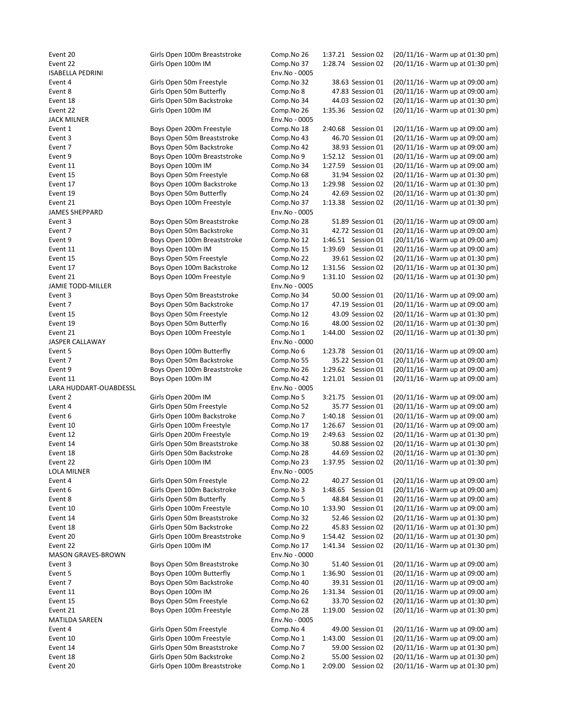Event 20 Girls Open 100m Breaststroke Comp.No 26 1:37.21 Session 02 (20/11/16 - Warm up at 01:30 pm) Event 22 Girls Open 100m IM Comp.No 37 1:28.74 Session 02 (20/11/16 - Warm up at 01:30 pm) ISABELLA PEDRINI Env.No - 0005 Event 4 Girls Open 50m Freestyle Comp.No 32 38.63 Session 01 (20/11/16 - Warm up at 09:00 am) Event 8 Girls Open 50m Butterfly Comp.No 8 47.83 Session 01 (20/11/16 - Warm up at 09:00 am) Event 18 Girls Open 50m Backstroke Comp.No 34 44.03 Session 02 (20/11/16 - Warm up at 01:30 pm) Event 22 Girls Open 100m IM Comp.No 26 1:35.36 Session 02 (20/11/16 - Warm up at 01:30 pm) JACK MILNER Env.No - 0005 Event 1 Boys Open 200m Freestyle Comp.No 18 2:40.68 Session 01 (20/11/16 - Warm up at 09:00 am) Event 3 Boys Open 50m Breaststroke Comp.No 43 46.70 Session 01 (20/11/16 - Warm up at 09:00 am) Event 7 Boys Open 50m Backstroke Comp.No 42 38.93 Session 01 (20/11/16 - Warm up at 09:00 am) Event 9 Boys Open 100m Breaststroke Comp.No 9 1:52.12 Session 01 (20/11/16 - Warm up at 09:00 am) Event 11 Boys Open 100m IM Comp.No 34 1:27.59 Session 01 (20/11/16 - Warm up at 09:00 am) Event 15 Boys Open 50m Freestyle Comp.No 68 31.94 Session 02 (20/11/16 - Warm up at 01:30 pm) Event 17 Boys Open 100m Backstroke Comp.No 13 1:29.98 Session 02 (20/11/16 - Warm up at 01:30 pm) Event 19 Boys Open 50m Butterfly Comp.No 24 42.69 Session 02 (20/11/16 - Warm up at 01:30 pm) Event 21 Boys Open 100m Freestyle Comp.No 37 1:13.38 Session 02 (20/11/16 - Warm up at 01:30 pm) JAMES SHEPPARD Env.No - 0005 Event 3 Boys Open 50m Breaststroke Comp.No 28 51.89 Session 01 (20/11/16 - Warm up at 09:00 am) Event 7 Boys Open 50m Backstroke Comp.No 31 42.72 Session 01 (20/11/16 - Warm up at 09:00 am) Event 9 Boys Open 100m Breaststroke Comp.No 12 1:46.51 Session 01 (20/11/16 - Warm up at 09:00 am) Event 11 Boys Open 100m IM Comp.No 15 1:39.69 Session 01 (20/11/16 - Warm up at 09:00 am) Event 15 Boys Open 50m Freestyle Comp.No 22 39.61 Session 02 (20/11/16 - Warm up at 01:30 pm) Event 17 Boys Open 100m Backstroke Comp.No 12 1:31.56 Session 02 (20/11/16 - Warm up at 01:30 pm) Event 21 Boys Open 100m Freestyle Comp.No 9 1:31.10 Session 02 (20/11/16 - Warm up at 01:30 pm) JAMIE TODD-MILLER **Env.No** - 0005 Event 3 Boys Open 50m Breaststroke Comp.No 34 50.00 Session 01 (20/11/16 - Warm up at 09:00 am) Event 7 Boys Open 50m Backstroke Comp.No 17 47.19 Session 01 (20/11/16 - Warm up at 09:00 am) Event 15 Boys Open 50m Freestyle Comp.No 12 43.09 Session 02 (20/11/16 - Warm up at 01:30 pm) Event 19 Boys Open 50m Butterfly Comp.No 16 48.00 Session 02 (20/11/16 - Warm up at 01:30 pm) Event 21 Boys Open 100m Freestyle Comp.No 1 1:44.00 Session 02 (20/11/16 - Warm up at 01:30 pm) JASPER CALLAWAY Env.No - 0000 Event 5 Boys Open 100m Butterfly Comp.No 6 1:23.78 Session 01 (20/11/16 - Warm up at 09:00 am) Event 7 Boys Open 50m Backstroke Comp.No 55 35.22 Session 01 (20/11/16 - Warm up at 09:00 am) Event 9 Boys Open 100m Breaststroke Comp.No 26 1:29.62 Session 01 (20/11/16 - Warm up at 09:00 am) Event 11 Boys Open 100m IM Comp.No 42 1:21.01 Session 01 (20/11/16 - Warm up at 09:00 am) LARA HUDDART-OUABDESSL Env.No - 0005 Event 2 Girls Open 200m IM Comp.No 5 3:21.75 Session 01 (20/11/16 - Warm up at 09:00 am) Event 4 Girls Open 50m Freestyle Comp.No 52 35.77 Session 01 (20/11/16 - Warm up at 09:00 am) Event 6 Girls Open 100m Backstroke Comp.No 7 1:40.18 Session 01 (20/11/16 - Warm up at 09:00 am) Event 10 Girls Open 100m Freestyle Comp.No 17 1:26.67 Session 01 (20/11/16 - Warm up at 09:00 am) Event 12 Girls Open 200m Freestyle Comp.No 19 2:49.63 Session 02 (20/11/16 - Warm up at 01:30 pm) Event 14 Girls Open 50m Breaststroke Comp.No 38 50.88 Session 02 (20/11/16 - Warm up at 01:30 pm) Event 18 Girls Open 50m Backstroke Comp.No 28 44.69 Session 02 (20/11/16 - Warm up at 01:30 pm) Event 22 Girls Open 100m IM Comp.No 23 1:37.95 Session 02 (20/11/16 - Warm up at 01:30 pm) LOLA MILNER Env.No - 0005 Event 4 Girls Open 50m Freestyle Comp.No 22 40.27 Session 01 (20/11/16 - Warm up at 09:00 am) Event 6 Girls Open 100m Backstroke Comp.No 3 1:48.65 Session 01 (20/11/16 - Warm up at 09:00 am) Event 8 Girls Open 50m Butterfly Comp.No 5 48.84 Session 01 (20/11/16 - Warm up at 09:00 am) Event 10 Girls Open 100m Freestyle Comp.No 10 1:33.90 Session 01 (20/11/16 - Warm up at 09:00 am) Event 14 Girls Open 50m Breaststroke Comp.No 32 52.46 Session 02 (20/11/16 - Warm up at 01:30 pm) Event 18 Girls Open 50m Backstroke Comp.No 22 45.83 Session 02 (20/11/16 - Warm up at 01:30 pm) Event 20 Girls Open 100m Breaststroke Comp.No 9 1:54.42 Session 02 (20/11/16 - Warm up at 01:30 pm) Event 22 Girls Open 100m IM Comp.No 17 1:41.34 Session 02 (20/11/16 - Warm up at 01:30 pm) MASON GRAVES-BROWN Env.No - 0000 Event 3 **Boys Open 50m Breaststroke** Comp.No 30 51.40 Session 01 (20/11/16 - Warm up at 09:00 am) Event 5 Boys Open 100m Butterfly Comp.No 1 1:36.90 Session 01 (20/11/16 - Warm up at 09:00 am) Event 7 Boys Open 50m Backstroke Comp.No 40 39.31 Session 01 (20/11/16 - Warm up at 09:00 am) Event 11 Boys Open 100m IM Comp.No 26 1:31.34 Session 01 (20/11/16 - Warm up at 09:00 am) Event 15 Boys Open 50m Freestyle Comp.No 62 33.70 Session 02 (20/11/16 - Warm up at 01:30 pm) Event 21 Boys Open 100m Freestyle Comp.No 28 1:19.00 Session 02 (20/11/16 - Warm up at 01:30 pm) MATILDA SAREEN EN ENGLISHED EN ENGLISHED EN ENGLISHED EN ENGLISHED ENGLISHED ENGLISHED ENGLISHED ENGLISHED ENG Event 4 Girls Open 50m Freestyle Comp.No 4 49.00 Session 01 (20/11/16 - Warm up at 09:00 am) Event 10 Girls Open 100m Freestyle Comp.No 1 1:43.00 Session 01 (20/11/16 - Warm up at 09:00 am) Event 14 Girls Open 50m Breaststroke Comp.No 7 59.00 Session 02 (20/11/16 - Warm up at 01:30 pm) Event 18 Girls Open 50m Backstroke Comp.No 2 55.00 Session 02 (20/11/16 - Warm up at 01:30 pm) Event 20 Girls Open 100m Breaststroke Comp.No 1 2:09.00 Session 02 (20/11/16 - Warm up at 01:30 pm)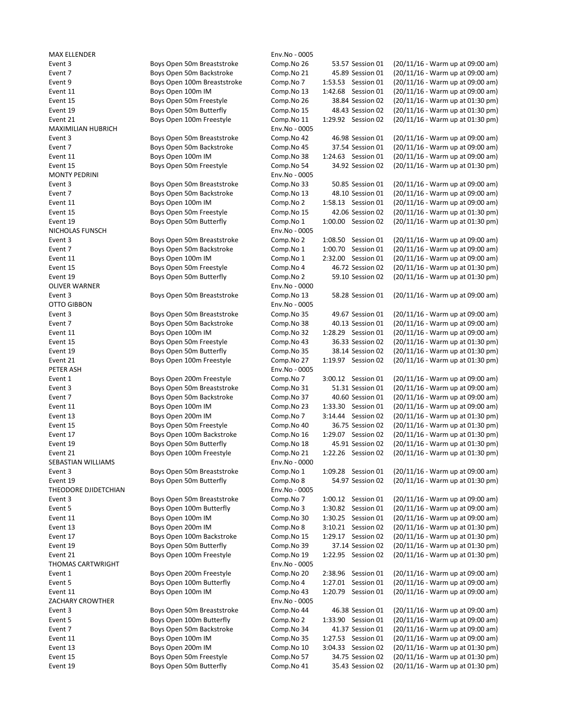MAX ELLENDER Env.No - 0005 MAXIMILIAN HUBRICH **Env.No** - 0005 MONTY PEDRINI Env.No - 0005 NICHOLAS FUNSCH Env.No - 0005 OLIVER WARNER **Env.No** - 0000 OTTO GIBBON Env.No - 0005 PETER ASH Env.No - 0005 SEBASTIAN WILLIAMS Env.No - 0000 THEODORE DJIDETCHIAN ENV.No - 0005 THOMAS CARTWRIGHT Env.No - 0005 ZACHARY CROWTHER **Env.No** - 0005

Event 3 Boys Open 50m Breaststroke Comp.No 26 53.57 Session 01 (20/11/16 - Warm up at 09:00 am) Event 7 Boys Open 50m Backstroke Comp.No 21 45.89 Session 01 (20/11/16 - Warm up at 09:00 am) Event 9 Boys Open 100m Breaststroke Comp.No 7 1:53.53 Session 01 (20/11/16 - Warm up at 09:00 am) Event 11 Boys Open 100m IM Comp.No 13 1:42.68 Session 01 (20/11/16 - Warm up at 09:00 am) Event 15 Boys Open 50m Freestyle Comp.No 26 38.84 Session 02 (20/11/16 - Warm up at 01:30 pm) Event 19 Boys Open 50m Butterfly Comp.No 15 48.43 Session 02 (20/11/16 - Warm up at 01:30 pm) Event 21 Boys Open 100m Freestyle Comp.No 11 1:29.92 Session 02 (20/11/16 - Warm up at 01:30 pm) Event 3 Boys Open 50m Breaststroke Comp.No 42 46.98 Session 01 (20/11/16 - Warm up at 09:00 am) Event 7 Boys Open 50m Backstroke Comp.No 45 37.54 Session 01 (20/11/16 - Warm up at 09:00 am) Event 11 Boys Open 100m IM Comp.No 38 1:24.63 Session 01 (20/11/16 - Warm up at 09:00 am) Event 15 Boys Open 50m Freestyle Comp.No 54 34.92 Session 02 (20/11/16 - Warm up at 01:30 pm) Event 3 Boys Open 50m Breaststroke Comp.No 33 50.85 Session 01 (20/11/16 - Warm up at 09:00 am) Event 7 Boys Open 50m Backstroke Comp.No 13 48.10 Session 01 (20/11/16 - Warm up at 09:00 am) Event 11 Boys Open 100m IM Comp.No 2 1:58.13 Session 01 (20/11/16 - Warm up at 09:00 am) Event 15 Boys Open 50m Freestyle Comp.No 15 42.06 Session 02 (20/11/16 - Warm up at 01:30 pm) Event 19 Boys Open 50m Butterfly Comp.No 1 1:00.00 Session 02 (20/11/16 - Warm up at 01:30 pm) Event 3 Boys Open 50m Breaststroke Comp.No 2 1:08.50 Session 01 (20/11/16 - Warm up at 09:00 am) Event 7 Boys Open 50m Backstroke Comp.No 1 1:00.70 Session 01 (20/11/16 - Warm up at 09:00 am) Event 11 Boys Open 100m IM Comp.No 1 2:32.00 Session 01 (20/11/16 - Warm up at 09:00 am) Event 15 Boys Open 50m Freestyle Comp.No 4 46.72 Session 02 (20/11/16 - Warm up at 01:30 pm) Event 19 Boys Open 50m Butterfly Comp.No 2 59.10 Session 02 (20/11/16 - Warm up at 01:30 pm) Event 3 Boys Open 50m Breaststroke Comp.No 13 58.28 Session 01 (20/11/16 - Warm up at 09:00 am) Event 3 Boys Open 50m Breaststroke Comp.No 35 49.67 Session 01 (20/11/16 - Warm up at 09:00 am) Event 7 Boys Open 50m Backstroke Comp.No 38 40.13 Session 01 (20/11/16 - Warm up at 09:00 am) Event 11 Boys Open 100m IM Comp.No 32 1:28.29 Session 01 (20/11/16 - Warm up at 09:00 am) Event 15 Boys Open 50m Freestyle Comp.No 43 36.33 Session 02 (20/11/16 - Warm up at 01:30 pm) Event 19 Boys Open 50m Butterfly Comp.No 35 38.14 Session 02 (20/11/16 - Warm up at 01:30 pm) Event 21 Boys Open 100m Freestyle Comp.No 27 1:19.97 Session 02 (20/11/16 - Warm up at 01:30 pm) Event 1 Boys Open 200m Freestyle Comp.No 7 3:00.12 Session 01 (20/11/16 - Warm up at 09:00 am) Event 3 Boys Open 50m Breaststroke Comp.No 31 51.31 Session 01 (20/11/16 - Warm up at 09:00 am) Event 7 Boys Open 50m Backstroke Comp.No 37 40.60 Session 01 (20/11/16 - Warm up at 09:00 am) Event 11 Boys Open 100m IM Comp.No 23 1:33.30 Session 01 (20/11/16 - Warm up at 09:00 am) Event 13 Boys Open 200m IM Comp.No 7 3:14.44 Session 02 (20/11/16 - Warm up at 01:30 pm) Event 15 Boys Open 50m Freestyle Comp.No 40 36.75 Session 02 (20/11/16 - Warm up at 01:30 pm) Event 17 Boys Open 100m Backstroke Comp.No 16 1:29.07 Session 02 (20/11/16 - Warm up at 01:30 pm) Event 19 Boys Open 50m Butterfly Comp.No 18 45.91 Session 02 (20/11/16 - Warm up at 01:30 pm) Event 21 Boys Open 100m Freestyle Comp.No 21 1:22.26 Session 02 (20/11/16 - Warm up at 01:30 pm) Event 3 Boys Open 50m Breaststroke Comp.No 1 1:09.28 Session 01 (20/11/16 - Warm up at 09:00 am) Event 19 Boys Open 50m Butterfly Comp.No 8 54.97 Session 02 (20/11/16 - Warm up at 01:30 pm) Event 3 Boys Open 50m Breaststroke Comp.No 7 1:00.12 Session 01 (20/11/16 - Warm up at 09:00 am) Event 5 Boys Open 100m Butterfly Comp.No 3 1:30.82 Session 01 (20/11/16 - Warm up at 09:00 am) Event 11 Boys Open 100m IM Comp.No 30 1:30.25 Session 01 (20/11/16 - Warm up at 09:00 am) Event 13 Boys Open 200m IM Comp.No 8 3:10.21 Session 02 (20/11/16 - Warm up at 01:30 pm) Event 17 Boys Open 100m Backstroke Comp.No 15 1:29.17 Session 02 (20/11/16 - Warm up at 01:30 pm) Event 19 Boys Open 50m Butterfly Comp.No 39 37.14 Session 02 (20/11/16 - Warm up at 01:30 pm) Event 21 Boys Open 100m Freestyle Comp.No 19 1:22.95 Session 02 (20/11/16 - Warm up at 01:30 pm) Event 1 Boys Open 200m Freestyle Comp.No 20 2:38.96 Session 01 (20/11/16 - Warm up at 09:00 am) Event 5 Boys Open 100m Butterfly Comp.No 4 1:27.01 Session 01 (20/11/16 - Warm up at 09:00 am) Event 11 Boys Open 100m IM Comp.No 43 1:20.79 Session 01 (20/11/16 - Warm up at 09:00 am) Event 3 Boys Open 50m Breaststroke Comp.No 44 46.38 Session 01 (20/11/16 - Warm up at 09:00 am) Event 5 Boys Open 100m Butterfly Comp.No 2 1:33.90 Session 01 (20/11/16 - Warm up at 09:00 am) Event 7 Boys Open 50m Backstroke Comp.No 34 41.37 Session 01 (20/11/16 - Warm up at 09:00 am) Event 11 Boys Open 100m IM Comp.No 35 1:27.53 Session 01 (20/11/16 - Warm up at 09:00 am) Event 13 Boys Open 200m IM Comp.No 10 3:04.33 Session 02 (20/11/16 - Warm up at 01:30 pm) Event 15 Boys Open 50m Freestyle Comp.No 57 34.75 Session 02 (20/11/16 - Warm up at 01:30 pm) Event 19 Boys Open 50m Butterfly Comp.No 41 35.43 Session 02 (20/11/16 - Warm up at 01:30 pm)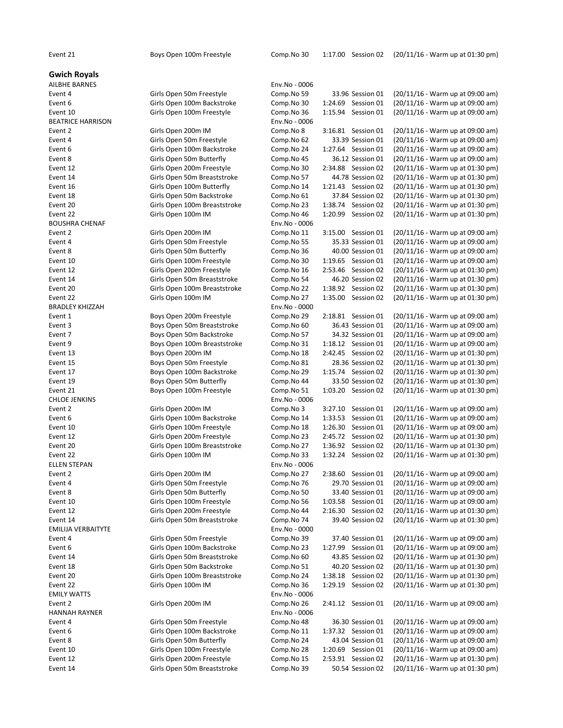Gwich Royals **AILBHE BARNES BEATRICE HARRISON** Event 4 Girls Open 50m Freestyle Event 22 Girls Open 100m IM BOUSHRA CHENAF Event 2 Girls Open 200m IM Event 4 Girls Open 50m Freestyle Event 8 Girls Open 50m Butterfly Event 22 Girls Open 100m IM BRADLEY KHIZZAH Event 13 Boys Open 200m IM Event 15 Boys Open 50m Freestyle Event 19 Boys Open 50m Butterfly **CHLOE JENKINS** Event 2 Girls Open 200m IM **ELLEN STEPAN** EMILIJA VERBAITYTE **EMILY WATTS** HANNAH RAYNER

| AILBHE BARNES                    |                              | Env.No - 0006               |                                             |                                                                      |
|----------------------------------|------------------------------|-----------------------------|---------------------------------------------|----------------------------------------------------------------------|
| Event 4                          | Girls Open 50m Freestyle     | Comp.No 59                  | 33.96 Session 01                            | (20/11/16 - Warm up at 09:00 am)                                     |
| Event 6                          | Girls Open 100m Backstroke   | Comp.No 30                  | 1:24.69 Session 01                          | (20/11/16 - Warm up at 09:00 am)                                     |
| Event 10                         | Girls Open 100m Freestyle    | Comp.No 36                  | 1:15.94 Session 01                          | (20/11/16 - Warm up at 09:00 am)                                     |
| <b>BEATRICE HARRISON</b>         |                              | Env.No - 0006               |                                             |                                                                      |
| Event 2                          | Girls Open 200m IM           | Comp.No 8                   | 3:16.81 Session 01                          | (20/11/16 - Warm up at 09:00 am)                                     |
| Event 4                          | Girls Open 50m Freestyle     | Comp.No 62                  | 33.39 Session 01                            | (20/11/16 - Warm up at 09:00 am)                                     |
| Event 6                          | Girls Open 100m Backstroke   | Comp.No 24                  | 1:27.64 Session 01                          | (20/11/16 - Warm up at 09:00 am)                                     |
| Event 8                          | Girls Open 50m Butterfly     | Comp.No 45                  | 36.12 Session 01                            | (20/11/16 - Warm up at 09:00 am)                                     |
| Event 12                         | Girls Open 200m Freestyle    | Comp.No 30                  | 2:34.88 Session 02                          | (20/11/16 - Warm up at 01:30 pm)                                     |
| Event 14                         | Girls Open 50m Breaststroke  | Comp.No 57                  | 44.78 Session 02                            | (20/11/16 - Warm up at 01:30 pm)                                     |
| Event 16                         | Girls Open 100m Butterfly    | Comp.No 14                  | 1:21.43 Session 02                          | (20/11/16 - Warm up at 01:30 pm)                                     |
| Event 18                         | Girls Open 50m Backstroke    | Comp.No 61                  | 37.84 Session 02                            | (20/11/16 - Warm up at 01:30 pm)                                     |
| Event 20                         | Girls Open 100m Breaststroke | Comp.No 23                  | 1:38.74 Session 02                          | (20/11/16 - Warm up at 01:30 pm)                                     |
| Event 22                         | Girls Open 100m IM           | Comp.No 46                  | 1:20.99 Session 02                          | (20/11/16 - Warm up at 01:30 pm)                                     |
| <b>BOUSHRA CHENAF</b>            |                              | Env.No - 0006               |                                             |                                                                      |
| Event 2                          | Girls Open 200m IM           | Comp.No 11                  | 3:15.00 Session 01                          | (20/11/16 - Warm up at 09:00 am)                                     |
| Event 4                          | Girls Open 50m Freestyle     | Comp.No 55                  | 35.33 Session 01                            | (20/11/16 - Warm up at 09:00 am)                                     |
| Event 8                          | Girls Open 50m Butterfly     | Comp.No 36                  | 40.00 Session 01                            | (20/11/16 - Warm up at 09:00 am)                                     |
| Event 10                         | Girls Open 100m Freestyle    | Comp.No 30                  | 1:19.65 Session 01                          | (20/11/16 - Warm up at 09:00 am)                                     |
| Event 12                         | Girls Open 200m Freestyle    | Comp.No 16                  | 2:53.46 Session 02                          | (20/11/16 - Warm up at 01:30 pm)                                     |
| Event 14                         | Girls Open 50m Breaststroke  | Comp.No 54                  | 46.20 Session 02                            | (20/11/16 - Warm up at 01:30 pm)                                     |
| Event 20                         | Girls Open 100m Breaststroke | Comp.No 22                  | 1:38.92 Session 02                          | (20/11/16 - Warm up at 01:30 pm)                                     |
| Event 22                         | Girls Open 100m IM           | Comp.No 27                  | 1:35.00 Session 02                          | (20/11/16 - Warm up at 01:30 pm)                                     |
| <b>BRADLEY KHIZZAH</b>           |                              | Env.No - 0000               |                                             |                                                                      |
| Event 1                          | Boys Open 200m Freestyle     | Comp.No 29                  | 2:18.81 Session 01                          | (20/11/16 - Warm up at 09:00 am)                                     |
| Event 3                          | Boys Open 50m Breaststroke   | Comp.No 60                  | 36.43 Session 01                            | (20/11/16 - Warm up at 09:00 am)                                     |
| Event 7                          | Boys Open 50m Backstroke     | Comp.No 57                  | 34.32 Session 01                            | (20/11/16 - Warm up at 09:00 am)                                     |
| Event 9                          | Boys Open 100m Breaststroke  | Comp.No 31                  | 1:18.12 Session 01                          | (20/11/16 - Warm up at 09:00 am)                                     |
| Event 13                         | Boys Open 200m IM            | Comp.No 18                  | 2:42.45 Session 02                          | (20/11/16 - Warm up at 01:30 pm)                                     |
| Event 15                         | Boys Open 50m Freestyle      | Comp.No 81                  | 28.36 Session 02                            | (20/11/16 - Warm up at 01:30 pm)                                     |
| Event 17                         | Boys Open 100m Backstroke    | Comp.No 29                  | 1:15.74 Session 02                          | (20/11/16 - Warm up at 01:30 pm)                                     |
| Event 19                         | Boys Open 50m Butterfly      | Comp.No 44                  | 33.50 Session 02                            | (20/11/16 - Warm up at 01:30 pm)                                     |
| Event 21<br><b>CHLOE JENKINS</b> | Boys Open 100m Freestyle     | Comp.No 51<br>Env.No - 0006 | 1:03.20 Session 02                          | (20/11/16 - Warm up at 01:30 pm)                                     |
| Event 2                          | Girls Open 200m IM           |                             | 3:27.10<br>Session 01                       | (20/11/16 - Warm up at 09:00 am)                                     |
| Event 6                          | Girls Open 100m Backstroke   | Comp.No 3                   | 1:33.53<br>Session 01                       |                                                                      |
| Event 10                         | Girls Open 100m Freestyle    | Comp.No 14<br>Comp.No 18    | 1:26.30 Session 01                          | (20/11/16 - Warm up at 09:00 am)<br>(20/11/16 - Warm up at 09:00 am) |
| Event 12                         | Girls Open 200m Freestyle    |                             | 2:45.72 Session 02                          | (20/11/16 - Warm up at 01:30 pm)                                     |
|                                  | Girls Open 100m Breaststroke | Comp.No 23<br>Comp.No 27    |                                             | (20/11/16 - Warm up at 01:30 pm)                                     |
| Event 20<br>Event 22             |                              | Comp.No 33                  | 1:36.92<br>Session 02<br>1:32.24 Session 02 | (20/11/16 - Warm up at 01:30 pm)                                     |
| <b>ELLEN STEPAN</b>              | Girls Open 100m IM           | Env.No - 0006               |                                             |                                                                      |
| Event 2                          | Girls Open 200m IM           | Comp.No 27                  | 2:38.60<br>Session 01                       | (20/11/16 - Warm up at 09:00 am)                                     |
| Event 4                          | Girls Open 50m Freestyle     | Comp.No 76                  | 29.70 Session 01                            | (20/11/16 - Warm up at 09:00 am)                                     |
| Event 8                          | Girls Open 50m Butterfly     | Comp.No 50                  | 33.40 Session 01                            | (20/11/16 - Warm up at 09:00 am)                                     |
| Event 10                         | Girls Open 100m Freestyle    | Comp.No 56                  | 1:03.58 Session 01                          | (20/11/16 - Warm up at 09:00 am)                                     |
| Event 12                         | Girls Open 200m Freestyle    | Comp.No 44                  | 2:16.30 Session 02                          | (20/11/16 - Warm up at 01:30 pm)                                     |
| Event 14                         | Girls Open 50m Breaststroke  | Comp.No 74                  | 39.40 Session 02                            | (20/11/16 - Warm up at 01:30 pm)                                     |
| EMILIJA VERBAITYTE               |                              | Env.No - 0000               |                                             |                                                                      |
| Event 4                          | Girls Open 50m Freestyle     | Comp.No 39                  | 37.40 Session 01                            | (20/11/16 - Warm up at 09:00 am)                                     |
| Event 6                          | Girls Open 100m Backstroke   | Comp.No 23                  | 1:27.99 Session 01                          | (20/11/16 - Warm up at 09:00 am)                                     |
| Event 14                         | Girls Open 50m Breaststroke  | Comp.No 60                  | 43.85 Session 02                            | (20/11/16 - Warm up at 01:30 pm)                                     |
| Event 18                         | Girls Open 50m Backstroke    | Comp.No 51                  | 40.20 Session 02                            | (20/11/16 - Warm up at 01:30 pm)                                     |
| Event 20                         | Girls Open 100m Breaststroke | Comp.No 24                  | 1:38.18 Session 02                          | (20/11/16 - Warm up at 01:30 pm)                                     |
| Event 22                         | Girls Open 100m IM           | Comp.No 36                  | 1:29.19<br>Session 02                       | (20/11/16 - Warm up at 01:30 pm)                                     |
| <b>EMILY WATTS</b>               |                              | Env.No - 0006               |                                             |                                                                      |
| Event 2                          | Girls Open 200m IM           | Comp.No 26                  | 2:41.12 Session 01                          | (20/11/16 - Warm up at 09:00 am)                                     |
| <b>HANNAH RAYNER</b>             |                              | Env.No - 0006               |                                             |                                                                      |
| Event 4                          | Girls Open 50m Freestyle     | Comp.No 48                  | 36.30 Session 01                            | (20/11/16 - Warm up at 09:00 am)                                     |
| Event 6                          | Girls Open 100m Backstroke   | Comp.No 11                  | 1:37.32 Session 01                          | (20/11/16 - Warm up at 09:00 am)                                     |
| Event 8                          | Girls Open 50m Butterfly     | Comp.No 24                  | 43.04 Session 01                            | (20/11/16 - Warm up at 09:00 am)                                     |
| Event 10                         | Girls Open 100m Freestyle    | Comp.No 28                  | 1:20.69 Session 01                          | (20/11/16 - Warm up at 09:00 am)                                     |
| Event 12                         | Girls Open 200m Freestyle    | Comp.No 15                  | 2:53.91 Session 02                          | (20/11/16 - Warm up at 01:30 pm)                                     |
| Event 14                         | Girls Open 50m Breaststroke  | Comp.No 39                  | 50.54 Session 02                            | (20/11/16 - Warm up at 01:30 pm)                                     |
|                                  |                              |                             |                                             |                                                                      |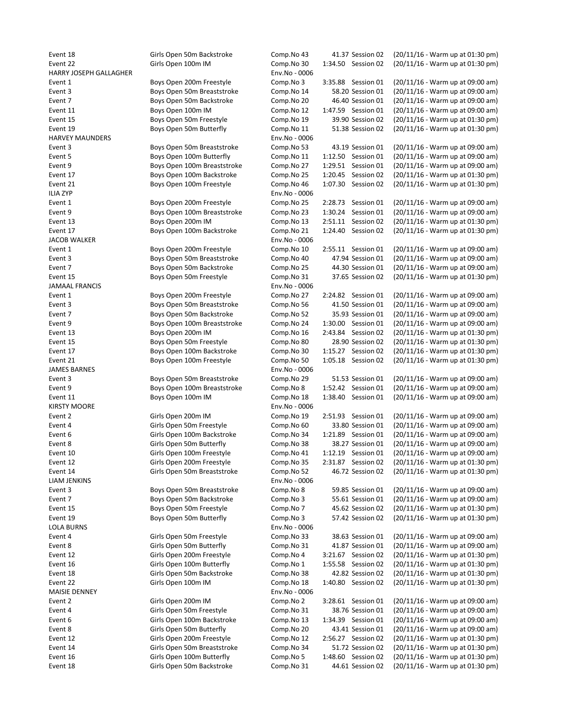| Event 18               | Girls Open 50m Backstroke   | Comp.No 43    | 41.37 Session 02      | (20/11/16 - Warm up at 01:30 pm) |
|------------------------|-----------------------------|---------------|-----------------------|----------------------------------|
| Event 22               | Girls Open 100m IM          | Comp.No 30    | 1:34.50 Session 02    | (20/11/16 - Warm up at 01:30 pm) |
| HARRY JOSEPH GALLAGHER |                             | Env.No - 0006 |                       |                                  |
|                        |                             |               |                       |                                  |
| Event 1                | Boys Open 200m Freestyle    | Comp.No 3     | 3:35.88 Session 01    | (20/11/16 - Warm up at 09:00 am) |
| Event 3                | Boys Open 50m Breaststroke  | Comp.No 14    | 58.20 Session 01      | (20/11/16 - Warm up at 09:00 am) |
| Event 7                | Boys Open 50m Backstroke    | Comp.No 20    | 46.40 Session 01      | (20/11/16 - Warm up at 09:00 am) |
| Event 11               | Boys Open 100m IM           | Comp.No 12    | 1:47.59 Session 01    | (20/11/16 - Warm up at 09:00 am) |
|                        |                             |               |                       |                                  |
| Event 15               | Boys Open 50m Freestyle     | Comp.No 19    | 39.90 Session 02      | (20/11/16 - Warm up at 01:30 pm) |
| Event 19               | Boys Open 50m Butterfly     | Comp.No 11    | 51.38 Session 02      | (20/11/16 - Warm up at 01:30 pm) |
| <b>HARVEY MAUNDERS</b> |                             | Env.No - 0006 |                       |                                  |
| Event 3                | Boys Open 50m Breaststroke  | Comp.No 53    | 43.19 Session 01      | (20/11/16 - Warm up at 09:00 am) |
|                        |                             |               | 1:12.50 Session 01    | (20/11/16 - Warm up at 09:00 am) |
| Event 5                | Boys Open 100m Butterfly    | Comp.No 11    |                       |                                  |
| Event 9                | Boys Open 100m Breaststroke | Comp.No 27    | 1:29.51 Session 01    | (20/11/16 - Warm up at 09:00 am) |
| Event 17               | Boys Open 100m Backstroke   | Comp.No 25    | 1:20.45 Session 02    | (20/11/16 - Warm up at 01:30 pm) |
| Event 21               | Boys Open 100m Freestyle    | Comp.No 46    | 1:07.30 Session 02    | (20/11/16 - Warm up at 01:30 pm) |
| <b>ILIA ZYP</b>        |                             | Env.No - 0006 |                       |                                  |
|                        |                             |               |                       |                                  |
| Event 1                | Boys Open 200m Freestyle    | Comp.No 25    | 2:28.73<br>Session 01 | (20/11/16 - Warm up at 09:00 am) |
| Event 9                | Boys Open 100m Breaststroke | Comp.No 23    | 1:30.24<br>Session 01 | (20/11/16 - Warm up at 09:00 am) |
| Event 13               | Boys Open 200m IM           | Comp.No 13    | 2:51.11 Session 02    | (20/11/16 - Warm up at 01:30 pm) |
| Event 17               | Boys Open 100m Backstroke   | Comp.No 21    | 1:24.40 Session 02    | (20/11/16 - Warm up at 01:30 pm) |
|                        |                             |               |                       |                                  |
| <b>JACOB WALKER</b>    |                             | Env.No - 0006 |                       |                                  |
| Event 1                | Boys Open 200m Freestyle    | Comp.No 10    | 2:55.11 Session 01    | (20/11/16 - Warm up at 09:00 am) |
| Event 3                | Boys Open 50m Breaststroke  | Comp.No 40    | 47.94 Session 01      | (20/11/16 - Warm up at 09:00 am) |
| Event 7                | Boys Open 50m Backstroke    | Comp.No 25    | 44.30 Session 01      | (20/11/16 - Warm up at 09:00 am) |
|                        |                             |               |                       |                                  |
| Event 15               | Boys Open 50m Freestyle     | Comp.No 31    | 37.65 Session 02      | (20/11/16 - Warm up at 01:30 pm) |
| JAMAAL FRANCIS         |                             | Env.No - 0006 |                       |                                  |
| Event 1                | Boys Open 200m Freestyle    | Comp.No 27    | 2:24.82 Session 01    | (20/11/16 - Warm up at 09:00 am) |
| Event 3                | Boys Open 50m Breaststroke  |               | 41.50 Session 01      | (20/11/16 - Warm up at 09:00 am) |
|                        |                             | Comp.No 56    |                       |                                  |
| Event 7                | Boys Open 50m Backstroke    | Comp.No 52    | 35.93 Session 01      | (20/11/16 - Warm up at 09:00 am) |
| Event 9                | Boys Open 100m Breaststroke | Comp.No 24    | 1:30.00 Session 01    | (20/11/16 - Warm up at 09:00 am) |
| Event 13               | Boys Open 200m IM           | Comp.No 16    | 2:43.84 Session 02    | (20/11/16 - Warm up at 01:30 pm) |
| Event 15               | Boys Open 50m Freestyle     | Comp.No 80    | 28.90 Session 02      | (20/11/16 - Warm up at 01:30 pm) |
|                        |                             |               |                       |                                  |
| Event 17               | Boys Open 100m Backstroke   | Comp.No 30    | 1:15.27 Session 02    | (20/11/16 - Warm up at 01:30 pm) |
| Event 21               | Boys Open 100m Freestyle    | Comp.No 50    | 1:05.18 Session 02    | (20/11/16 - Warm up at 01:30 pm) |
| <b>JAMES BARNES</b>    |                             | Env.No - 0006 |                       |                                  |
| Event 3                | Boys Open 50m Breaststroke  | Comp.No 29    | 51.53 Session 01      | (20/11/16 - Warm up at 09:00 am) |
|                        |                             |               |                       |                                  |
| Event 9                | Boys Open 100m Breaststroke | Comp.No 8     | 1:52.42 Session 01    | (20/11/16 - Warm up at 09:00 am) |
| Event 11               | Boys Open 100m IM           | Comp.No 18    | 1:38.40 Session 01    | (20/11/16 - Warm up at 09:00 am) |
| <b>KIRSTY MOORE</b>    |                             | Env.No - 0006 |                       |                                  |
| Event 2                | Girls Open 200m IM          | Comp.No 19    | 2:51.93 Session 01    | (20/11/16 - Warm up at 09:00 am) |
|                        |                             |               |                       |                                  |
| Event 4                | Girls Open 50m Freestyle    | Comp.No 60    | 33.80 Session 01      | (20/11/16 - Warm up at 09:00 am) |
| Event 6                | Girls Open 100m Backstroke  | Comp.No 34    | 1:21.89 Session 01    | (20/11/16 - Warm up at 09:00 am) |
| Event 8                | Girls Open 50m Butterfly    | Comp.No 38    | 38.27 Session 01      | (20/11/16 - Warm up at 09:00 am) |
| Event 10               | Girls Open 100m Freestyle   | Comp.No 41    | 1:12.19 Session 01    | (20/11/16 - Warm up at 09:00 am) |
|                        |                             |               |                       |                                  |
| Event 12               | Girls Open 200m Freestyle   | Comp.No 35    | 2:31.87 Session 02    | (20/11/16 - Warm up at 01:30 pm) |
| Event 14               | Girls Open 50m Breaststroke | Comp.No 52    | 46.72 Session 02      | (20/11/16 - Warm up at 01:30 pm) |
| <b>LIAM JENKINS</b>    |                             | Env.No - 0006 |                       |                                  |
| Event 3                | Boys Open 50m Breaststroke  | Comp.No 8     | 59.85 Session 01      | (20/11/16 - Warm up at 09:00 am) |
|                        |                             |               |                       |                                  |
| Event 7                | Boys Open 50m Backstroke    | Comp.No 3     | 55.61 Session 01      | (20/11/16 - Warm up at 09:00 am) |
| Event 15               | Boys Open 50m Freestyle     | Comp.No 7     | 45.62 Session 02      | (20/11/16 - Warm up at 01:30 pm) |
| Event 19               | Boys Open 50m Butterfly     | Comp.No 3     | 57.42 Session 02      | (20/11/16 - Warm up at 01:30 pm) |
| LOLA BURNS             |                             | Env.No - 0006 |                       |                                  |
|                        | Girls Open 50m Freestyle    | Comp.No 33    |                       | (20/11/16 - Warm up at 09:00 am) |
| Event 4                |                             |               | 38.63 Session 01      |                                  |
| Event 8                | Girls Open 50m Butterfly    | Comp.No 31    | 41.87 Session 01      | (20/11/16 - Warm up at 09:00 am) |
| Event 12               | Girls Open 200m Freestyle   | Comp.No 4     | 3:21.67 Session 02    | (20/11/16 - Warm up at 01:30 pm) |
| Event 16               | Girls Open 100m Butterfly   | Comp.No 1     | 1:55.58 Session 02    | (20/11/16 - Warm up at 01:30 pm) |
| Event 18               | Girls Open 50m Backstroke   | Comp.No 38    | 42.82 Session 02      | (20/11/16 - Warm up at 01:30 pm) |
|                        |                             |               |                       |                                  |
| Event 22               | Girls Open 100m IM          | Comp.No 18    | 1:40.80 Session 02    | (20/11/16 - Warm up at 01:30 pm) |
| MAISIE DENNEY          |                             | Env.No - 0006 |                       |                                  |
| Event 2                | Girls Open 200m IM          | Comp.No 2     | 3:28.61 Session 01    | (20/11/16 - Warm up at 09:00 am) |
| Event 4                | Girls Open 50m Freestyle    | Comp.No 31    | 38.76 Session 01      | (20/11/16 - Warm up at 09:00 am) |
|                        |                             |               |                       |                                  |
| Event 6                | Girls Open 100m Backstroke  | Comp.No 13    | 1:34.39 Session 01    | (20/11/16 - Warm up at 09:00 am) |
| Event 8                | Girls Open 50m Butterfly    | Comp.No 20    | 43.41 Session 01      | (20/11/16 - Warm up at 09:00 am) |
| Event 12               | Girls Open 200m Freestyle   | Comp.No 12    | 2:56.27 Session 02    | (20/11/16 - Warm up at 01:30 pm) |
| Event 14               | Girls Open 50m Breaststroke | Comp.No 34    | 51.72 Session 02      | (20/11/16 - Warm up at 01:30 pm) |
|                        |                             |               |                       |                                  |
| Event 16               | Girls Open 100m Butterfly   | Comp.No 5     | 1:48.60 Session 02    | (20/11/16 - Warm up at 01:30 pm) |
| Event 18               | Girls Open 50m Backstroke   | Comp.No 31    | 44.61 Session 02      | (20/11/16 - Warm up at 01:30 pm) |
|                        |                             |               |                       |                                  |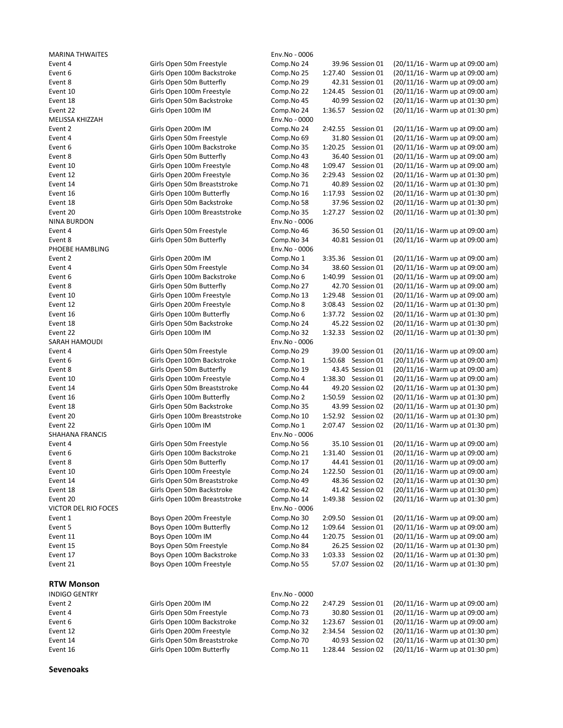MARINA THWAITES **Environment Contracts** Environment Contracts and the Environment Contracts of the Environment Contracts of the Environment Contracts of the Environment Contracts of the Environment Contracts of the Environ MELISSA KHIZZAH Env.No - 0000 NINA BURDON Env.No - 0006 PHOEBE HAMBLING **Environment Contract Contract Contract Contract Contract Contract Contract Contract Contract Contract Contract Contract Contract Contract Contract Contract Contract Contract Contract Contract Contract Cont** SARAH HAMOUDI ENGLANDER SARAH HAMOUDI SHAHANA FRANCIS **Env.No** - 0006 VICTOR DEL RIO FOCES EN ENTRE EN ENGLACIÓ EN ENV.No - 0006

# RTW Monson

| .                    |                             |                 |                       |                                    |
|----------------------|-----------------------------|-----------------|-----------------------|------------------------------------|
| <b>INDIGO GENTRY</b> |                             | $Env.No - 0000$ |                       |                                    |
| Event 2              | Girls Open 200m IM          | Comp.No 22      | 2:47.29<br>Session 01 | (20/11/16 - Warm up at 09:00 am)   |
| Event 4              | Girls Open 50m Freestyle    | Comp.No 73      | 30.80 Session 01      | (20/11/16 - Warm up at 09:00 am)   |
| Event 6              | Girls Open 100m Backstroke  | Comp.No 32      | Session 01<br>1:23.67 | (20/11/16 - Warm up at 09:00 am)   |
| Event 12             | Girls Open 200m Freestyle   | Comp.No 32      | 2:34.54 Session 02    | (20/11/16 - Warm up at 01:30 pm)   |
| Event 14             | Girls Open 50m Breaststroke | Comp.No 70      | 40.93 Session 02      | $(20/11/16 - Warm up at 01:30 pm)$ |
| Event 16             | Girls Open 100m Butterfly   | Comp.No 11      | Session 02<br>1:28.44 | $(20/11/16 - Warm up at 01:30 pm)$ |
|                      |                             |                 |                       |                                    |

Sevenoaks

Event 4 Girls Open 50m Freestyle Comp.No 24 39.96 Session 01 (20/11/16 - Warm up at 09:00 am) Event 6 Girls Open 100m Backstroke Comp.No 25 1:27.40 Session 01 (20/11/16 - Warm up at 09:00 am) Event 8 Girls Open 50m Butterfly Comp.No 29 42.31 Session 01 (20/11/16 - Warm up at 09:00 am) Event 10 Girls Open 100m Freestyle Comp.No 22 1:24.45 Session 01 (20/11/16 - Warm up at 09:00 am) Event 18 Girls Open 50m Backstroke Comp.No 45 40.99 Session 02 (20/11/16 - Warm up at 01:30 pm) Event 22 Girls Open 100m IM Comp.No 24 1:36.57 Session 02 (20/11/16 - Warm up at 01:30 pm) Event 2 Girls Open 200m IM Comp.No 24 2:42.55 Session 01 (20/11/16 - Warm up at 09:00 am) Event 4 Girls Open 50m Freestyle Comp.No 69 31.80 Session 01 (20/11/16 - Warm up at 09:00 am) Event 6 Girls Open 100m Backstroke Comp.No 35 1:20.25 Session 01 (20/11/16 - Warm up at 09:00 am) Event 8 Girls Open 50m Butterfly Comp.No 43 36.40 Session 01 (20/11/16 - Warm up at 09:00 am) Event 10 Girls Open 100m Freestyle Comp.No 48 1:09.47 Session 01 (20/11/16 - Warm up at 09:00 am) Event 12 Girls Open 200m Freestyle Comp.No 36 2:29.43 Session 02 (20/11/16 - Warm up at 01:30 pm) Event 14 Girls Open 50m Breaststroke Comp.No 71 40.89 Session 02 (20/11/16 - Warm up at 01:30 pm) Event 16 Girls Open 100m Butterfly Comp.No 16 1:17.93 Session 02 (20/11/16 - Warm up at 01:30 pm) Event 18 Girls Open 50m Backstroke Comp.No 58 37.96 Session 02 (20/11/16 - Warm up at 01:30 pm) Event 20 Girls Open 100m Breaststroke Comp.No 35 1:27.27 Session 02 (20/11/16 - Warm up at 01:30 pm) Event 4 Girls Open 50m Freestyle Comp.No 46 36.50 Session 01 (20/11/16 - Warm up at 09:00 am) Event 8 Girls Open 50m Butterfly Comp.No 34 40.81 Session 01 (20/11/16 - Warm up at 09:00 am) Event 2 Girls Open 200m IM Comp.No 1 3:35.36 Session 01 (20/11/16 - Warm up at 09:00 am) Event 4 Girls Open 50m Freestyle Comp.No 34 38.60 Session 01 (20/11/16 - Warm up at 09:00 am) Event 6 Girls Open 100m Backstroke Comp.No 6 1:40.99 Session 01 (20/11/16 - Warm up at 09:00 am) Event 8 Girls Open 50m Butterfly Comp.No 27 42.70 Session 01 (20/11/16 - Warm up at 09:00 am) Event 10 Girls Open 100m Freestyle Comp.No 13 1:29.48 Session 01 (20/11/16 - Warm up at 09:00 am) Event 12 Girls Open 200m Freestyle Comp.No 8 3:08.43 Session 02 (20/11/16 - Warm up at 01:30 pm) Event 16 Girls Open 100m Butterfly Comp.No 6 1:37.72 Session 02 (20/11/16 - Warm up at 01:30 pm) Event 18 Girls Open 50m Backstroke Comp.No 24 45.22 Session 02 (20/11/16 - Warm up at 01:30 pm) Event 22 Girls Open 100m IM Comp.No 32 1:32.33 Session 02 (20/11/16 - Warm up at 01:30 pm) Event 4 Girls Open 50m Freestyle Comp.No 29 39.00 Session 01 (20/11/16 - Warm up at 09:00 am) Event 6 Girls Open 100m Backstroke Comp.No 1 1:50.68 Session 01 (20/11/16 - Warm up at 09:00 am) Event 8 Girls Open 50m Butterfly Comp.No 19 43.45 Session 01 (20/11/16 - Warm up at 09:00 am) Event 10 Girls Open 100m Freestyle Comp.No 4 1:38.30 Session 01 (20/11/16 - Warm up at 09:00 am) Event 14 Girls Open 50m Breaststroke Comp.No 44 49.20 Session 02 (20/11/16 - Warm up at 01:30 pm) Event 16 Girls Open 100m Butterfly Comp.No 2 1:50.59 Session 02 (20/11/16 - Warm up at 01:30 pm) Event 18 Girls Open 50m Backstroke Comp.No 35 43.99 Session 02 (20/11/16 - Warm up at 01:30 pm) Event 20 Girls Open 100m Breaststroke Comp.No 10 1:52.92 Session 02 (20/11/16 - Warm up at 01:30 pm) Event 22 Girls Open 100m IM Comp.No 1 2:07.47 Session 02 (20/11/16 - Warm up at 01:30 pm) Event 4 Girls Open 50m Freestyle Comp.No 56 35.10 Session 01 (20/11/16 - Warm up at 09:00 am) Event 6 Girls Open 100m Backstroke Comp.No 21 1:31.40 Session 01 (20/11/16 - Warm up at 09:00 am) Event 8 Girls Open 50m Butterfly Comp.No 17 44.41 Session 01 (20/11/16 - Warm up at 09:00 am) Event 10 Girls Open 100m Freestyle Comp.No 24 1:22.50 Session 01 (20/11/16 - Warm up at 09:00 am) Event 14 Girls Open 50m Breaststroke Comp.No 49 48.36 Session 02 (20/11/16 - Warm up at 01:30 pm) Event 18 Girls Open 50m Backstroke Comp.No 42 41.42 Session 02 (20/11/16 - Warm up at 01:30 pm) Event 20 Girls Open 100m Breaststroke Comp.No 14 1:49.38 Session 02 (20/11/16 - Warm up at 01:30 pm) Event 1 Boys Open 200m Freestyle Comp.No 30 2:09.50 Session 01 (20/11/16 - Warm up at 09:00 am) Event 5 Boys Open 100m Butterfly Comp.No 12 1:09.64 Session 01 (20/11/16 - Warm up at 09:00 am) Event 11 Boys Open 100m IM Comp.No 44 1:20.75 Session 01 (20/11/16 - Warm up at 09:00 am) Event 15 Boys Open 50m Freestyle Comp.No 84 26.25 Session 02 (20/11/16 - Warm up at 01:30 pm) Event 17 Boys Open 100m Backstroke Comp.No 33 1:03.33 Session 02 (20/11/16 - Warm up at 01:30 pm) Event 21 Boys Open 100m Freestyle Comp.No 55 57.07 Session 02 (20/11/16 - Warm up at 01:30 pm)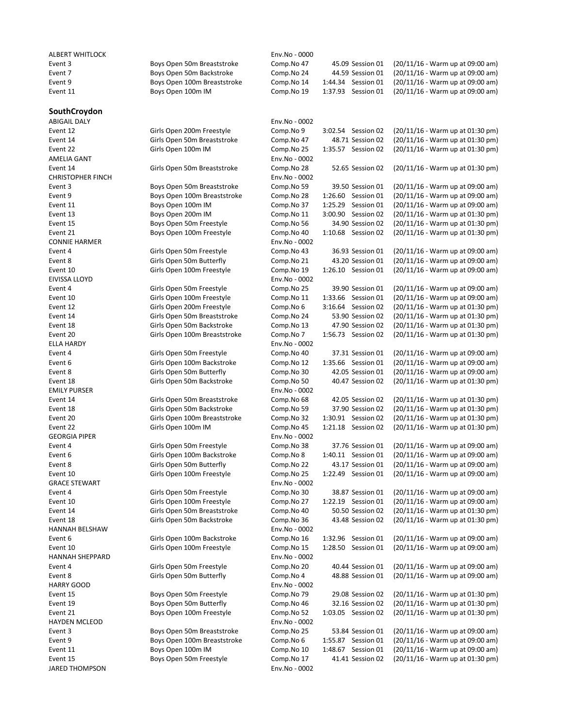# **SouthCroydon**

ALBERT WHITLOCK **ALBERT WHITLOCK Env.No - 0000**<br>Event 3 Comp.No 47

Event 3 Boys Open 50m Breaststroke Comp.No 47 45.09 Session 01 (20/11/16 - Warm up at 09:00 am) Event 7 Boys Open 50m Backstroke Comp.No 24 44.59 Session 01 (20/11/16 - Warm up at 09:00 am) Event 9 Boys Open 100m Breaststroke Comp.No 14 1:44.34 Session 01 (20/11/16 - Warm up at 09:00 am) Event 11 Boys Open 100m IM Comp.No 19 1:37.93 Session 01 (20/11/16 - Warm up at 09:00 am)

| <b>ABIGAIL DALY</b>                  |                              | Env.No - 0002               |                    |                                  |
|--------------------------------------|------------------------------|-----------------------------|--------------------|----------------------------------|
| Event 12                             | Girls Open 200m Freestyle    | Comp.No 9                   | 3:02.54 Session 02 | (20/11/16 - Warm up at 01:30 pm) |
| Event 14                             | Girls Open 50m Breaststroke  | Comp.No 47                  | 48.71 Session 02   | (20/11/16 - Warm up at 01:30 pm) |
| Event 22                             | Girls Open 100m IM           | Comp.No 25                  | 1:35.57 Session 02 | (20/11/16 - Warm up at 01:30 pm) |
| AMELIA GANT                          |                              | Env.No - 0002               |                    |                                  |
| Event 14<br><b>CHRISTOPHER FINCH</b> | Girls Open 50m Breaststroke  | Comp.No 28<br>Env.No - 0002 | 52.65 Session 02   | (20/11/16 - Warm up at 01:30 pm) |
| Event 3                              | Boys Open 50m Breaststroke   | Comp.No 59                  | 39.50 Session 01   | (20/11/16 - Warm up at 09:00 am) |
| Event 9                              | Boys Open 100m Breaststroke  | Comp.No 28                  | 1:26.60 Session 01 | (20/11/16 - Warm up at 09:00 am) |
| Event 11                             | Boys Open 100m IM            | Comp.No 37                  | 1:25.29 Session 01 | (20/11/16 - Warm up at 09:00 am) |
| Event 13                             | Boys Open 200m IM            | Comp.No 11                  | 3:00.90 Session 02 | (20/11/16 - Warm up at 01:30 pm) |
| Event 15                             | Boys Open 50m Freestyle      | Comp.No 56                  | 34.90 Session 02   | (20/11/16 - Warm up at 01:30 pm) |
| Event 21<br><b>CONNIE HARMER</b>     | Boys Open 100m Freestyle     | Comp.No 40<br>Env.No - 0002 | 1:10.68 Session 02 | (20/11/16 - Warm up at 01:30 pm) |
| Event 4                              | Girls Open 50m Freestyle     | Comp.No 43                  | 36.93 Session 01   | (20/11/16 - Warm up at 09:00 am) |
| Event 8                              | Girls Open 50m Butterfly     | Comp.No 21                  | 43.20 Session 01   | (20/11/16 - Warm up at 09:00 am) |
| Event 10                             | Girls Open 100m Freestyle    | Comp.No 19                  | 1:26.10 Session 01 | (20/11/16 - Warm up at 09:00 am) |
| EIVISSA LLOYD                        |                              | Env.No - 0002               |                    |                                  |
| Event 4                              | Girls Open 50m Freestyle     | Comp.No 25                  | 39.90 Session 01   | (20/11/16 - Warm up at 09:00 am) |
| Event 10                             | Girls Open 100m Freestyle    | Comp.No 11                  | 1:33.66 Session 01 | (20/11/16 - Warm up at 09:00 am) |
| Event 12                             | Girls Open 200m Freestyle    | Comp.No 6                   | 3:16.64 Session 02 | (20/11/16 - Warm up at 01:30 pm) |
| Event 14                             | Girls Open 50m Breaststroke  | Comp.No 24                  | 53.90 Session 02   | (20/11/16 - Warm up at 01:30 pm) |
| Event 18                             | Girls Open 50m Backstroke    | Comp.No 13                  | 47.90 Session 02   | (20/11/16 - Warm up at 01:30 pm) |
| Event 20                             | Girls Open 100m Breaststroke | Comp.No 7                   | 1:56.73 Session 02 | (20/11/16 - Warm up at 01:30 pm) |
| ELLA HARDY                           |                              | Env.No - 0002               |                    |                                  |
| Event 4                              | Girls Open 50m Freestyle     | Comp.No 40                  | 37.31 Session 01   | (20/11/16 - Warm up at 09:00 am) |
| Event 6                              | Girls Open 100m Backstroke   | Comp.No 12                  | 1:35.66 Session 01 | (20/11/16 - Warm up at 09:00 am) |
| Event 8                              | Girls Open 50m Butterfly     | Comp.No 30                  | 42.05 Session 01   | (20/11/16 - Warm up at 09:00 am) |
| Event 18                             | Girls Open 50m Backstroke    | Comp.No 50                  | 40.47 Session 02   | (20/11/16 - Warm up at 01:30 pm) |
| <b>EMILY PURSER</b>                  |                              | Env.No - 0002               |                    |                                  |
| Event 14                             | Girls Open 50m Breaststroke  | Comp.No 68                  | 42.05 Session 02   | (20/11/16 - Warm up at 01:30 pm) |
| Event 18                             | Girls Open 50m Backstroke    | Comp.No 59                  | 37.90 Session 02   | (20/11/16 - Warm up at 01:30 pm) |
| Event 20                             | Girls Open 100m Breaststroke | Comp.No 32                  | 1:30.91 Session 02 | (20/11/16 - Warm up at 01:30 pm) |
| Event 22                             | Girls Open 100m IM           | Comp.No 45                  | 1:21.18 Session 02 | (20/11/16 - Warm up at 01:30 pm) |
| <b>GEORGIA PIPER</b>                 |                              | Env.No - 0002               |                    |                                  |
| Event 4                              | Girls Open 50m Freestyle     | Comp.No 38                  | 37.76 Session 01   | (20/11/16 - Warm up at 09:00 am) |
| Event 6                              | Girls Open 100m Backstroke   | Comp.No 8                   | 1:40.11 Session 01 | (20/11/16 - Warm up at 09:00 am) |
| Event 8                              | Girls Open 50m Butterfly     | Comp.No 22                  | 43.17 Session 01   | (20/11/16 - Warm up at 09:00 am) |
| Event 10<br><b>GRACE STEWART</b>     | Girls Open 100m Freestyle    | Comp.No 25<br>Env.No - 0002 | 1:22.49 Session 01 | (20/11/16 - Warm up at 09:00 am) |
| Event 4                              | Girls Open 50m Freestyle     | Comp.No 30                  | 38.87 Session 01   | (20/11/16 - Warm up at 09:00 am) |
| Event 10                             | Girls Open 100m Freestyle    | Comp.No 27                  | 1:22.19 Session 01 | (20/11/16 - Warm up at 09:00 am) |
| Event 14                             | Girls Open 50m Breaststroke  | Comp.No 40                  | 50.50 Session 02   | (20/11/16 - Warm up at 01:30 pm) |
| Event 18                             | Girls Open 50m Backstroke    | Comp.No 36                  | 43.48 Session 02   | (20/11/16 - Warm up at 01:30 pm) |
| HANNAH BELSHAW                       |                              | Env.No - 0002               |                    |                                  |
| Event 6                              | Girls Open 100m Backstroke   | Comp.No 16                  | 1:32.96 Session 01 | (20/11/16 - Warm up at 09:00 am) |
| Event 10                             | Girls Open 100m Freestyle    | Comp.No 15                  | 1:28.50 Session 01 | (20/11/16 - Warm up at 09:00 am) |
| <b>HANNAH SHEPPARD</b>               |                              | Env.No - 0002               |                    |                                  |
| Event 4                              | Girls Open 50m Freestyle     | Comp.No 20                  | 40.44 Session 01   | (20/11/16 - Warm up at 09:00 am) |
| Event 8                              | Girls Open 50m Butterfly     | Comp.No 4                   | 48.88 Session 01   | (20/11/16 - Warm up at 09:00 am) |
| <b>HARRY GOOD</b>                    |                              | Env.No - 0002               |                    |                                  |
| Event 15                             | Boys Open 50m Freestyle      | Comp.No 79                  | 29.08 Session 02   | (20/11/16 - Warm up at 01:30 pm) |
| Event 19                             | Boys Open 50m Butterfly      | Comp.No 46                  | 32.16 Session 02   | (20/11/16 - Warm up at 01:30 pm) |
| Event 21                             | Boys Open 100m Freestyle     | Comp.No 52                  | 1:03.05 Session 02 | (20/11/16 - Warm up at 01:30 pm) |
| <b>HAYDEN MCLEOD</b>                 |                              | Env.No - 0002               |                    |                                  |
| Event 3                              | Boys Open 50m Breaststroke   | Comp.No 25                  | 53.84 Session 01   | (20/11/16 - Warm up at 09:00 am) |
| Event 9                              | Boys Open 100m Breaststroke  | Comp.No 6                   | 1:55.87 Session 01 | (20/11/16 - Warm up at 09:00 am) |
| Event 11                             | Boys Open 100m IM            | Comp.No 10                  | 1:48.67 Session 01 | (20/11/16 - Warm up at 09:00 am) |
| Event 15                             | Boys Open 50m Freestyle      | Comp.No 17                  | 41.41 Session 02   | (20/11/16 - Warm up at 01:30 pm) |
|                                      |                              |                             |                    |                                  |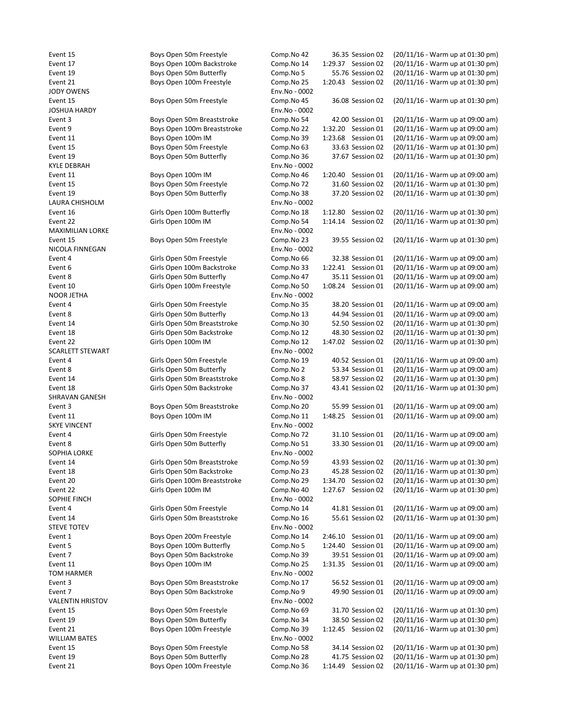JODY OWENS Env.No - 0002 JOSHUA HARDY Env.No - 0002 KYLE DEBRAH Env.No - 0002 LAURA CHISHOLM **Env.No** - 0002 MAXIMILIAN LORKE Env.No - 0002 NICOLA FINNEGAN Env.No - 0002 NOOR JETHA Env.No - 0002 SCARLETT STEWART ENGINEERING SCARLETT STEWART SHRAVAN GANESH Env.No - 0002 SKYE VINCENT Env.No - 0002 SOPHIA LORKE Env.No - 0002 SOPHIE FINCH ENV.No - 0002 STEVE TOTEV Env.No - 0002 TOM HARMER Env.No - 0002 VALENTIN HRISTOV **Env.No** - 0002 WILLIAM BATES **Env.No** - 0002

Event 15 Boys Open 50m Freestyle Comp.No 42 36.35 Session 02 (20/11/16 - Warm up at 01:30 pm) Event 17 Boys Open 100m Backstroke Comp.No 14 1:29.37 Session 02 (20/11/16 - Warm up at 01:30 pm) Event 19 Boys Open 50m Butterfly Comp.No 5 55.76 Session 02 (20/11/16 - Warm up at 01:30 pm) Event 21 Boys Open 100m Freestyle Comp.No 25 1:20.43 Session 02 (20/11/16 - Warm up at 01:30 pm) Event 15 Boys Open 50m Freestyle Comp.No 45 36.08 Session 02 (20/11/16 - Warm up at 01:30 pm) Event 3 Boys Open 50m Breaststroke Comp.No 54 42.00 Session 01 (20/11/16 - Warm up at 09:00 am) Event 9 Boys Open 100m Breaststroke Comp.No 22 1:32.20 Session 01 (20/11/16 - Warm up at 09:00 am) Event 11 Boys Open 100m IM Comp.No 39 1:23.68 Session 01 (20/11/16 - Warm up at 09:00 am) Event 15 Boys Open 50m Freestyle Comp.No 63 33.63 Session 02 (20/11/16 - Warm up at 01:30 pm) Event 19 Boys Open 50m Butterfly Comp.No 36 37.67 Session 02 (20/11/16 - Warm up at 01:30 pm) Event 11 Boys Open 100m IM Comp.No 46 1:20.40 Session 01 (20/11/16 - Warm up at 09:00 am) Event 15 Boys Open 50m Freestyle Comp.No 72 31.60 Session 02 (20/11/16 - Warm up at 01:30 pm) Event 19 Boys Open 50m Butterfly Comp.No 38 37.20 Session 02 (20/11/16 - Warm up at 01:30 pm) Event 16 Girls Open 100m Butterfly Comp.No 18 1:12.80 Session 02 (20/11/16 - Warm up at 01:30 pm) Event 22 Girls Open 100m IM Comp.No 54 1:14.14 Session 02 (20/11/16 - Warm up at 01:30 pm) Event 15 Boys Open 50m Freestyle Comp.No 23 39.55 Session 02 (20/11/16 - Warm up at 01:30 pm) Event 4 Girls Open 50m Freestyle Comp.No 66 32.38 Session 01 (20/11/16 - Warm up at 09:00 am) Event 6 Girls Open 100m Backstroke Comp.No 33 1:22.41 Session 01 (20/11/16 - Warm up at 09:00 am) Event 8 Girls Open 50m Butterfly Comp.No 47 35.11 Session 01 (20/11/16 - Warm up at 09:00 am) Event 10 Girls Open 100m Freestyle Comp.No 50 1:08.24 Session 01 (20/11/16 - Warm up at 09:00 am) Event 4 Girls Open 50m Freestyle Comp.No 35 38.20 Session 01 (20/11/16 - Warm up at 09:00 am) Event 8 Girls Open 50m Butterfly Comp.No 13 44.94 Session 01 (20/11/16 - Warm up at 09:00 am) Event 14 Girls Open 50m Breaststroke Comp.No 30 52.50 Session 02 (20/11/16 - Warm up at 01:30 pm) Event 18 Girls Open 50m Backstroke Comp.No 12 48.30 Session 02 (20/11/16 - Warm up at 01:30 pm) Event 22 Girls Open 100m IM Comp.No 12 1:47.02 Session 02 (20/11/16 - Warm up at 01:30 pm) Event 4 Girls Open 50m Freestyle Comp.No 19 40.52 Session 01 (20/11/16 - Warm up at 09:00 am) Event 8 Girls Open 50m Butterfly Comp.No 2 53.34 Session 01 (20/11/16 - Warm up at 09:00 am) Event 14 Girls Open 50m Breaststroke Comp.No 8 58.97 Session 02 (20/11/16 - Warm up at 01:30 pm) Event 18 Girls Open 50m Backstroke Comp.No 37 43.41 Session 02 (20/11/16 - Warm up at 01:30 pm) Event 3 Boys Open 50m Breaststroke Comp.No 20 55.99 Session 01 (20/11/16 - Warm up at 09:00 am) Event 11 Boys Open 100m IM Comp.No 11 1:48.25 Session 01 (20/11/16 - Warm up at 09:00 am) Event 4 Girls Open 50m Freestyle Comp.No 72 31.10 Session 01 (20/11/16 - Warm up at 09:00 am) Event 8 Girls Open 50m Butterfly Comp.No 51 33.30 Session 01 (20/11/16 - Warm up at 09:00 am) Event 14 Girls Open 50m Breaststroke Comp.No 59 43.93 Session 02 (20/11/16 - Warm up at 01:30 pm) Event 18 Girls Open 50m Backstroke Comp.No 23 45.28 Session 02 (20/11/16 - Warm up at 01:30 pm) Event 20 Girls Open 100m Breaststroke Comp.No 29 1:34.70 Session 02 (20/11/16 - Warm up at 01:30 pm) Event 22 Girls Open 100m IM Comp.No 40 1:27.67 Session 02 (20/11/16 - Warm up at 01:30 pm) Event 4 Girls Open 50m Freestyle Comp.No 14 41.81 Session 01 (20/11/16 - Warm up at 09:00 am) Event 14 Girls Open 50m Breaststroke Comp.No 16 55.61 Session 02 (20/11/16 - Warm up at 01:30 pm) Event 1 Boys Open 200m Freestyle Comp.No 14 2:46.10 Session 01 (20/11/16 - Warm up at 09:00 am) Event 5 Boys Open 100m Butterfly Comp.No 5 1:24.40 Session 01 (20/11/16 - Warm up at 09:00 am) Event 7 Boys Open 50m Backstroke Comp.No 39 39.51 Session 01 (20/11/16 - Warm up at 09:00 am) Event 11 Boys Open 100m IM Comp.No 25 1:31.35 Session 01 (20/11/16 - Warm up at 09:00 am) Event 3 Boys Open 50m Breaststroke Comp.No 17 56.52 Session 01 (20/11/16 - Warm up at 09:00 am) Event 7 Boys Open 50m Backstroke Comp.No 9 49.90 Session 01 (20/11/16 - Warm up at 09:00 am) Event 15 Boys Open 50m Freestyle Comp.No 69 31.70 Session 02 (20/11/16 - Warm up at 01:30 pm) Event 19 Boys Open 50m Butterfly Comp.No 34 38.50 Session 02 (20/11/16 - Warm up at 01:30 pm) Event 21 Boys Open 100m Freestyle Comp.No 39 1:12.45 Session 02 (20/11/16 - Warm up at 01:30 pm) Event 15 Boys Open 50m Freestyle Comp.No 58 34.14 Session 02 (20/11/16 - Warm up at 01:30 pm) Event 19 Boys Open 50m Butterfly Comp.No 28 41.75 Session 02 (20/11/16 - Warm up at 01:30 pm) Event 21 Boys Open 100m Freestyle Comp.No 36 1:14.49 Session 02 (20/11/16 - Warm up at 01:30 pm)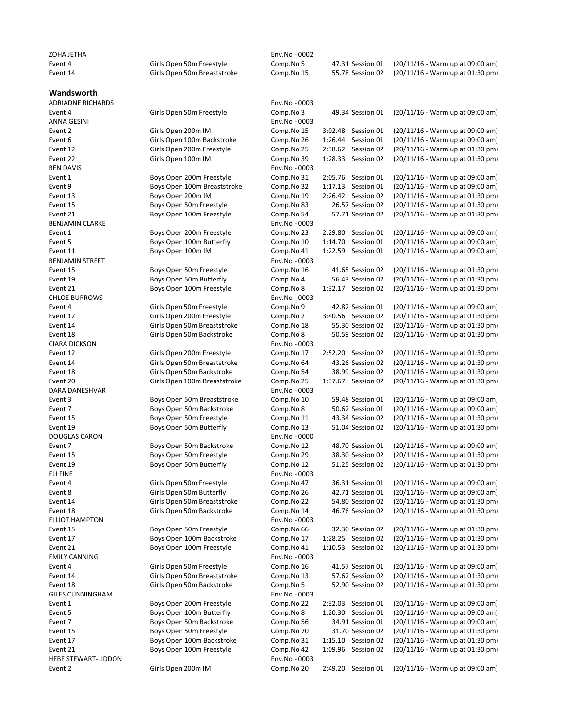| ZOHA JETHA                       |                                                     | Env.No - 0002               |                                        |                                                                      |
|----------------------------------|-----------------------------------------------------|-----------------------------|----------------------------------------|----------------------------------------------------------------------|
| Event 4                          | Girls Open 50m Freestyle                            | Comp.No 5                   | 47.31 Session 01                       | (20/11/16 - Warm up at 09:00 am)                                     |
| Event 14                         | Girls Open 50m Breaststroke                         | Comp.No 15                  | 55.78 Session 02                       | (20/11/16 - Warm up at 01:30 pm)                                     |
| Wandsworth                       |                                                     |                             |                                        |                                                                      |
| <b>ADRIADNE RICHARDS</b>         |                                                     | Env.No - 0003               |                                        |                                                                      |
| Event 4                          | Girls Open 50m Freestyle                            | Comp.No 3                   | 49.34 Session 01                       | (20/11/16 - Warm up at 09:00 am)                                     |
| ANNA GESINI                      |                                                     | Env.No - 0003               |                                        |                                                                      |
| Event 2                          | Girls Open 200m IM                                  | Comp.No 15                  | 3:02.48<br>Session 01                  | $(20/11/16 - Warm up at 09:00 am)$                                   |
| Event 6                          | Girls Open 100m Backstroke                          | Comp.No 26                  | 1:26.44 Session 01                     | (20/11/16 - Warm up at 09:00 am)                                     |
| Event 12                         | Girls Open 200m Freestyle                           | Comp.No 25                  | 2:38.62 Session 02                     | (20/11/16 - Warm up at 01:30 pm)                                     |
| Event 22                         | Girls Open 100m IM                                  | Comp.No 39                  | 1:28.33 Session 02                     | (20/11/16 - Warm up at 01:30 pm)                                     |
| <b>BEN DAVIS</b>                 |                                                     | Env.No - 0003               |                                        |                                                                      |
| Event 1                          | Boys Open 200m Freestyle                            | Comp.No 31                  | 2:05.76 Session 01                     | (20/11/16 - Warm up at 09:00 am)                                     |
| Event 9                          | Boys Open 100m Breaststroke                         | Comp.No 32                  | 1:17.13 Session 01                     | (20/11/16 - Warm up at 09:00 am)                                     |
| Event 13                         | Boys Open 200m IM                                   | Comp.No 19                  | 2:26.42 Session 02<br>26.57 Session 02 | (20/11/16 - Warm up at 01:30 pm)                                     |
| Event 15<br>Event 21             | Boys Open 50m Freestyle<br>Boys Open 100m Freestyle | Comp.No 83<br>Comp.No 54    | 57.71 Session 02                       | (20/11/16 - Warm up at 01:30 pm)<br>(20/11/16 - Warm up at 01:30 pm) |
| BENJAMIN CLARKE                  |                                                     | Env.No - 0003               |                                        |                                                                      |
| Event 1                          | Boys Open 200m Freestyle                            | Comp.No 23                  | 2:29.80 Session 01                     | (20/11/16 - Warm up at 09:00 am)                                     |
| Event 5                          | Boys Open 100m Butterfly                            | Comp.No 10                  | 1:14.70 Session 01                     | (20/11/16 - Warm up at 09:00 am)                                     |
| Event 11                         | Boys Open 100m IM                                   | Comp.No 41                  | 1:22.59 Session 01                     | (20/11/16 - Warm up at 09:00 am)                                     |
| <b>BENJAMIN STREET</b>           |                                                     | Env.No - 0003               |                                        |                                                                      |
| Event 15                         | Boys Open 50m Freestyle                             | Comp.No 16                  | 41.65 Session 02                       | (20/11/16 - Warm up at 01:30 pm)                                     |
| Event 19                         | Boys Open 50m Butterfly                             | Comp.No 4                   | 56.43 Session 02                       | (20/11/16 - Warm up at 01:30 pm)                                     |
| Event 21                         | Boys Open 100m Freestyle                            | Comp.No 8                   | 1:32.17 Session 02                     | (20/11/16 - Warm up at 01:30 pm)                                     |
| <b>CHLOE BURROWS</b>             |                                                     | Env.No - 0003               |                                        |                                                                      |
| Event 4                          | Girls Open 50m Freestyle                            | Comp.No 9                   | 42.82 Session 01                       | (20/11/16 - Warm up at 09:00 am)                                     |
| Event 12                         | Girls Open 200m Freestyle                           | Comp.No 2                   | 3:40.56 Session 02                     | (20/11/16 - Warm up at 01:30 pm)                                     |
| Event 14                         | Girls Open 50m Breaststroke                         | Comp.No 18                  | 55.30 Session 02                       | (20/11/16 - Warm up at 01:30 pm)                                     |
| Event 18                         | Girls Open 50m Backstroke                           | Comp.No 8                   | 50.59 Session 02                       | (20/11/16 - Warm up at 01:30 pm)                                     |
| <b>CIARA DICKSON</b>             |                                                     | Env.No - 0003               |                                        |                                                                      |
| Event 12                         | Girls Open 200m Freestyle                           | Comp.No 17                  | 2:52.20 Session 02                     | (20/11/16 - Warm up at 01:30 pm)                                     |
| Event 14                         | Girls Open 50m Breaststroke                         | Comp.No 64                  | 43.26 Session 02                       | (20/11/16 - Warm up at 01:30 pm)                                     |
| Event 18                         | Girls Open 50m Backstroke                           | Comp.No 54                  | 38.99 Session 02                       | (20/11/16 - Warm up at 01:30 pm)                                     |
| Event 20                         | Girls Open 100m Breaststroke                        | Comp.No 25                  | 1:37.67 Session 02                     | (20/11/16 - Warm up at 01:30 pm)                                     |
| DARA DANESHVAR<br>Event 3        | Boys Open 50m Breaststroke                          | Env.No - 0003<br>Comp.No 10 | 59.48 Session 01                       | (20/11/16 - Warm up at 09:00 am)                                     |
| Event 7                          | Boys Open 50m Backstroke                            | Comp.No 8                   | 50.62 Session 01                       | (20/11/16 - Warm up at 09:00 am)                                     |
| Event 15                         | Boys Open 50m Freestyle                             | Comp.No 11                  | 43.34 Session 02                       | (20/11/16 - Warm up at 01:30 pm)                                     |
| Event 19                         | Boys Open 50m Butterfly                             | Comp.No 13                  | 51.04 Session 02                       | (20/11/16 - Warm up at 01:30 pm)                                     |
| DOUGLAS CARON                    |                                                     | Env.No - 0000               |                                        |                                                                      |
| Event 7                          | Boys Open 50m Backstroke                            | Comp.No 12                  | 48.70 Session 01                       | (20/11/16 - Warm up at 09:00 am)                                     |
| Event 15                         | Boys Open 50m Freestyle                             | Comp.No 29                  | 38.30 Session 02                       | (20/11/16 - Warm up at 01:30 pm)                                     |
| Event 19                         | Boys Open 50m Butterfly                             | Comp.No 12                  | 51.25 Session 02                       | (20/11/16 - Warm up at 01:30 pm)                                     |
| ELI FINE                         |                                                     | Env.No - 0003               |                                        |                                                                      |
| Event 4                          | Girls Open 50m Freestyle                            | Comp.No 47                  | 36.31 Session 01                       | (20/11/16 - Warm up at 09:00 am)                                     |
| Event 8                          | Girls Open 50m Butterfly                            | Comp.No 26                  | 42.71 Session 01                       | (20/11/16 - Warm up at 09:00 am)                                     |
| Event 14                         | Girls Open 50m Breaststroke                         | Comp.No 22                  | 54.80 Session 02                       | (20/11/16 - Warm up at 01:30 pm)                                     |
| Event 18                         | Girls Open 50m Backstroke                           | Comp.No 14                  | 46.76 Session 02                       | (20/11/16 - Warm up at 01:30 pm)                                     |
| <b>ELLIOT HAMPTON</b>            |                                                     | Env.No - 0003               |                                        |                                                                      |
| Event 15                         | Boys Open 50m Freestyle                             | Comp.No 66                  | 32.30 Session 02                       | (20/11/16 - Warm up at 01:30 pm)                                     |
| Event 17                         | Boys Open 100m Backstroke                           | Comp.No 17                  | 1:28.25 Session 02                     | (20/11/16 - Warm up at 01:30 pm)                                     |
| Event 21<br><b>EMILY CANNING</b> | Boys Open 100m Freestyle                            | Comp.No 41                  | 1:10.53 Session 02                     | (20/11/16 - Warm up at 01:30 pm)                                     |
| Event 4                          | Girls Open 50m Freestyle                            | Env.No - 0003<br>Comp.No 16 | 41.57 Session 01                       | (20/11/16 - Warm up at 09:00 am)                                     |
| Event 14                         | Girls Open 50m Breaststroke                         | Comp.No 13                  | 57.62 Session 02                       | (20/11/16 - Warm up at 01:30 pm)                                     |
| Event 18                         | Girls Open 50m Backstroke                           | Comp.No 5                   | 52.90 Session 02                       | (20/11/16 - Warm up at 01:30 pm)                                     |
| <b>GILES CUNNINGHAM</b>          |                                                     | Env.No - 0003               |                                        |                                                                      |
| Event 1                          | Boys Open 200m Freestyle                            | Comp.No 22                  | 2:32.03 Session 01                     | (20/11/16 - Warm up at 09:00 am)                                     |
| Event 5                          | Boys Open 100m Butterfly                            | Comp.No 8                   | 1:20.30 Session 01                     | (20/11/16 - Warm up at 09:00 am)                                     |
| Event 7                          | Boys Open 50m Backstroke                            | Comp.No 56                  | 34.91 Session 01                       | (20/11/16 - Warm up at 09:00 am)                                     |
| Event 15                         | Boys Open 50m Freestyle                             | Comp.No 70                  | 31.70 Session 02                       | (20/11/16 - Warm up at 01:30 pm)                                     |
| Event 17                         | Boys Open 100m Backstroke                           | Comp.No 31                  | 1:15.10 Session 02                     | (20/11/16 - Warm up at 01:30 pm)                                     |
| Event 21                         | Boys Open 100m Freestyle                            | Comp.No 42                  | 1:09.96 Session 02                     | (20/11/16 - Warm up at 01:30 pm)                                     |
| HEBE STEWART-LIDDON              |                                                     | Env.No - 0003               |                                        |                                                                      |
| Event 2                          | Girls Open 200m IM                                  | Comp.No 20                  | 2:49.20 Session 01                     | (20/11/16 - Warm up at 09:00 am)                                     |
|                                  |                                                     |                             |                                        |                                                                      |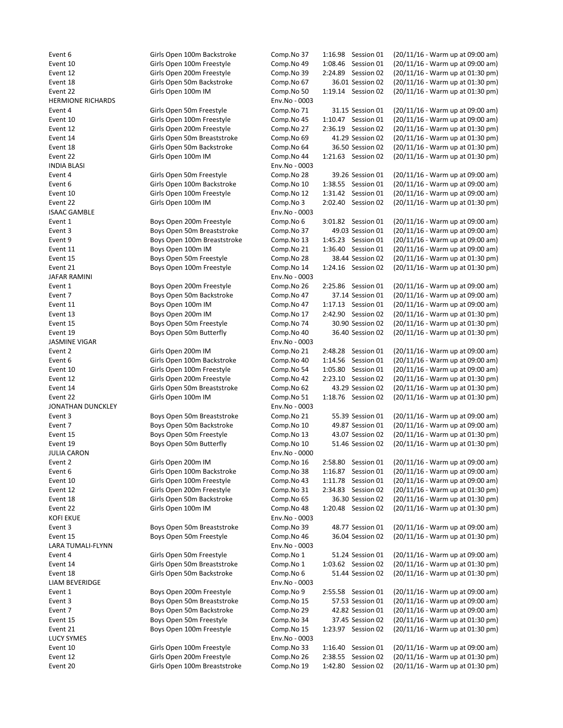| Event 6                  | Girls Open 100m Backstroke   | Comp.No 37    | 1:16.98 Session 01    | (20/11/16 - Warm up at 09:00 am) |
|--------------------------|------------------------------|---------------|-----------------------|----------------------------------|
| Event 10                 | Girls Open 100m Freestyle    | Comp.No 49    | 1:08.46 Session 01    | (20/11/16 - Warm up at 09:00 am) |
| Event 12                 | Girls Open 200m Freestyle    | Comp.No 39    | 2:24.89 Session 02    | (20/11/16 - Warm up at 01:30 pm) |
| Event 18                 | Girls Open 50m Backstroke    | Comp.No 67    | 36.01 Session 02      | (20/11/16 - Warm up at 01:30 pm) |
| Event 22                 | Girls Open 100m IM           | Comp.No 50    | 1:19.14 Session 02    | (20/11/16 - Warm up at 01:30 pm) |
| <b>HERMIONE RICHARDS</b> |                              | Env.No - 0003 |                       |                                  |
| Event 4                  | Girls Open 50m Freestyle     | Comp.No 71    | 31.15 Session 01      | (20/11/16 - Warm up at 09:00 am) |
| Event 10                 | Girls Open 100m Freestyle    | Comp.No 45    | 1:10.47 Session 01    | (20/11/16 - Warm up at 09:00 am) |
| Event 12                 | Girls Open 200m Freestyle    | Comp.No 27    | 2:36.19 Session 02    | (20/11/16 - Warm up at 01:30 pm) |
| Event 14                 | Girls Open 50m Breaststroke  | Comp.No 69    | 41.29 Session 02      | (20/11/16 - Warm up at 01:30 pm) |
| Event 18                 | Girls Open 50m Backstroke    | Comp.No 64    | 36.50 Session 02      | (20/11/16 - Warm up at 01:30 pm) |
| Event 22                 | Girls Open 100m IM           | Comp.No 44    | 1:21.63 Session 02    | (20/11/16 - Warm up at 01:30 pm) |
| <b>INDIA BLASI</b>       |                              | Env.No - 0003 |                       |                                  |
| Event 4                  | Girls Open 50m Freestyle     | Comp.No 28    | 39.26 Session 01      | (20/11/16 - Warm up at 09:00 am) |
| Event 6                  | Girls Open 100m Backstroke   | Comp.No 10    | 1:38.55 Session 01    | (20/11/16 - Warm up at 09:00 am) |
| Event 10                 | Girls Open 100m Freestyle    | Comp.No 12    | 1:31.42 Session 01    | (20/11/16 - Warm up at 09:00 am) |
| Event 22                 | Girls Open 100m IM           | Comp.No 3     | 2:02.40 Session 02    | (20/11/16 - Warm up at 01:30 pm) |
| <b>ISAAC GAMBLE</b>      |                              | Env.No - 0003 |                       |                                  |
| Event 1                  | Boys Open 200m Freestyle     | Comp.No 6     | 3:01.82 Session 01    | (20/11/16 - Warm up at 09:00 am) |
| Event 3                  | Boys Open 50m Breaststroke   | Comp.No 37    | 49.03 Session 01      | (20/11/16 - Warm up at 09:00 am) |
| Event 9                  | Boys Open 100m Breaststroke  | Comp.No 13    | 1:45.23 Session 01    | (20/11/16 - Warm up at 09:00 am) |
| Event 11                 | Boys Open 100m IM            | Comp.No 21    | 1:36.40 Session 01    | (20/11/16 - Warm up at 09:00 am) |
| Event 15                 | Boys Open 50m Freestyle      | Comp.No 28    | 38.44 Session 02      | (20/11/16 - Warm up at 01:30 pm) |
| Event 21                 | Boys Open 100m Freestyle     | Comp.No 14    | 1:24.16 Session 02    | (20/11/16 - Warm up at 01:30 pm) |
| JAFAR RAMINI             |                              | Env.No - 0003 |                       |                                  |
| Event 1                  | Boys Open 200m Freestyle     | Comp.No 26    | 2:25.86 Session 01    | (20/11/16 - Warm up at 09:00 am) |
| Event 7                  | Boys Open 50m Backstroke     | Comp.No 47    | 37.14 Session 01      | (20/11/16 - Warm up at 09:00 am) |
| Event 11                 | Boys Open 100m IM            | Comp.No 47    | 1:17.13 Session 01    | (20/11/16 - Warm up at 09:00 am) |
| Event 13                 | Boys Open 200m IM            | Comp.No 17    | 2:42.90 Session 02    | (20/11/16 - Warm up at 01:30 pm) |
| Event 15                 | Boys Open 50m Freestyle      | Comp.No 74    | 30.90 Session 02      | (20/11/16 - Warm up at 01:30 pm) |
| Event 19                 | Boys Open 50m Butterfly      | Comp.No 40    | 36.40 Session 02      | (20/11/16 - Warm up at 01:30 pm) |
| <b>JASMINE VIGAR</b>     |                              | Env.No - 0003 |                       |                                  |
| Event 2                  | Girls Open 200m IM           | Comp.No 21    | 2:48.28 Session 01    | (20/11/16 - Warm up at 09:00 am) |
| Event 6                  | Girls Open 100m Backstroke   |               | 1:14.56 Session 01    | (20/11/16 - Warm up at 09:00 am) |
|                          |                              | Comp.No 40    |                       |                                  |
| Event 10                 | Girls Open 100m Freestyle    | Comp.No 54    | 1:05.80 Session 01    | (20/11/16 - Warm up at 09:00 am) |
| Event 12                 | Girls Open 200m Freestyle    | Comp.No 42    | 2:23.10 Session 02    | (20/11/16 - Warm up at 01:30 pm) |
| Event 14                 | Girls Open 50m Breaststroke  | Comp.No 62    | 43.29 Session 02      | (20/11/16 - Warm up at 01:30 pm) |
| Event 22                 | Girls Open 100m IM           | Comp.No 51    | 1:18.76 Session 02    | (20/11/16 - Warm up at 01:30 pm) |
| JONATHAN DUNCKLEY        |                              | Env.No - 0003 |                       |                                  |
| Event 3                  | Boys Open 50m Breaststroke   | Comp.No 21    | 55.39 Session 01      | (20/11/16 - Warm up at 09:00 am) |
| Event 7                  | Boys Open 50m Backstroke     | Comp.No 10    | 49.87 Session 01      | (20/11/16 - Warm up at 09:00 am) |
| Event 15                 | Boys Open 50m Freestyle      | Comp.No 13    | 43.07 Session 02      | (20/11/16 - Warm up at 01:30 pm) |
| Event 19                 | Boys Open 50m Butterfly      | Comp.No 10    | 51.46 Session 02      | (20/11/16 - Warm up at 01:30 pm) |
| <b>JULIA CARON</b>       |                              | Env.No - 0000 |                       |                                  |
| Event 2                  | Girls Open 200m IM           | Comp.No 16    | 2:58.80 Session 01    | (20/11/16 - Warm up at 09:00 am) |
| Event 6                  | Girls Open 100m Backstroke   | Comp.No 38    | 1:16.87 Session 01    | (20/11/16 - Warm up at 09:00 am) |
| Event 10                 | Girls Open 100m Freestyle    | Comp.No 43    | 1:11.78 Session 01    | (20/11/16 - Warm up at 09:00 am) |
| Event 12                 | Girls Open 200m Freestyle    | Comp.No 31    | 2:34.83 Session 02    | (20/11/16 - Warm up at 01:30 pm) |
| Event 18                 | Girls Open 50m Backstroke    | Comp.No 65    | 36.30 Session 02      | (20/11/16 - Warm up at 01:30 pm) |
| Event 22                 | Girls Open 100m IM           | Comp.No 48    | 1:20.48 Session 02    | (20/11/16 - Warm up at 01:30 pm) |
| KOFI EKUE                |                              | Env.No - 0003 |                       |                                  |
| Event 3                  | Boys Open 50m Breaststroke   | Comp.No 39    | 48.77 Session 01      | (20/11/16 - Warm up at 09:00 am) |
| Event 15                 | Boys Open 50m Freestyle      | Comp.No 46    | 36.04 Session 02      | (20/11/16 - Warm up at 01:30 pm) |
| LARA TUMALI-FLYNN        |                              | Env.No - 0003 |                       |                                  |
| Event 4                  | Girls Open 50m Freestyle     | Comp.No 1     | 51.24 Session 01      | (20/11/16 - Warm up at 09:00 am) |
| Event 14                 | Girls Open 50m Breaststroke  | Comp.No 1     | 1:03.62 Session 02    | (20/11/16 - Warm up at 01:30 pm) |
| Event 18                 | Girls Open 50m Backstroke    | Comp.No 6     | 51.44 Session 02      | (20/11/16 - Warm up at 01:30 pm) |
| LIAM BEVERIDGE           |                              | Env.No - 0003 |                       |                                  |
| Event 1                  | Boys Open 200m Freestyle     | Comp.No 9     | 2:55.58 Session 01    | (20/11/16 - Warm up at 09:00 am) |
| Event 3                  | Boys Open 50m Breaststroke   | Comp.No 15    | 57.53 Session 01      | (20/11/16 - Warm up at 09:00 am) |
| Event 7                  | Boys Open 50m Backstroke     | Comp.No 29    | 42.82 Session 01      | (20/11/16 - Warm up at 09:00 am) |
| Event 15                 | Boys Open 50m Freestyle      | Comp.No 34    | 37.45 Session 02      | (20/11/16 - Warm up at 01:30 pm) |
| Event 21                 | Boys Open 100m Freestyle     | Comp.No 15    | 1:23.97 Session 02    | (20/11/16 - Warm up at 01:30 pm) |
| <b>LUCY SYMES</b>        |                              | Env.No - 0003 |                       |                                  |
| Event 10                 | Girls Open 100m Freestyle    | Comp.No 33    | 1:16.40 Session 01    | (20/11/16 - Warm up at 09:00 am) |
| Event 12                 | Girls Open 200m Freestyle    | Comp.No 26    | 2:38.55<br>Session 02 | (20/11/16 - Warm up at 01:30 pm) |
| Event 20                 | Girls Open 100m Breaststroke | Comp.No 19    | 1:42.80 Session 02    | (20/11/16 - Warm up at 01:30 pm) |